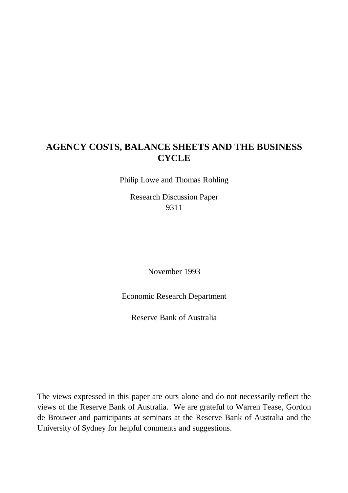# **AGENCY COSTS, BALANCE SHEETS AND THE BUSINESS CYCLE**

Philip Lowe and Thomas Rohling

Research Discussion Paper 9311

November 1993

Economic Research Department

Reserve Bank of Australia

The views expressed in this paper are ours alone and do not necessarily reflect the views of the Reserve Bank of Australia. We are grateful to Warren Tease, Gordon de Brouwer and participants at seminars at the Reserve Bank of Australia and the University of Sydney for helpful comments and suggestions.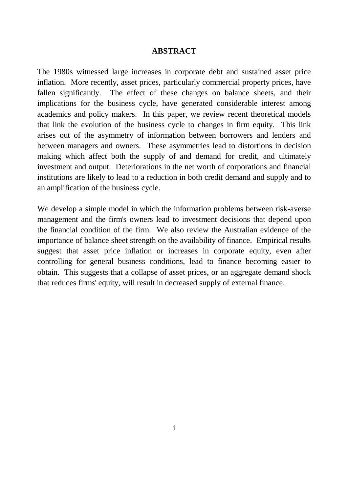#### **ABSTRACT**

The 1980s witnessed large increases in corporate debt and sustained asset price inflation. More recently, asset prices, particularly commercial property prices, have fallen significantly. The effect of these changes on balance sheets, and their implications for the business cycle, have generated considerable interest among academics and policy makers. In this paper, we review recent theoretical models that link the evolution of the business cycle to changes in firm equity. This link arises out of the asymmetry of information between borrowers and lenders and between managers and owners. These asymmetries lead to distortions in decision making which affect both the supply of and demand for credit, and ultimately investment and output. Deteriorations in the net worth of corporations and financial institutions are likely to lead to a reduction in both credit demand and supply and to an amplification of the business cycle.

We develop a simple model in which the information problems between risk-averse management and the firm's owners lead to investment decisions that depend upon the financial condition of the firm. We also review the Australian evidence of the importance of balance sheet strength on the availability of finance. Empirical results suggest that asset price inflation or increases in corporate equity, even after controlling for general business conditions, lead to finance becoming easier to obtain. This suggests that a collapse of asset prices, or an aggregate demand shock that reduces firms' equity, will result in decreased supply of external finance.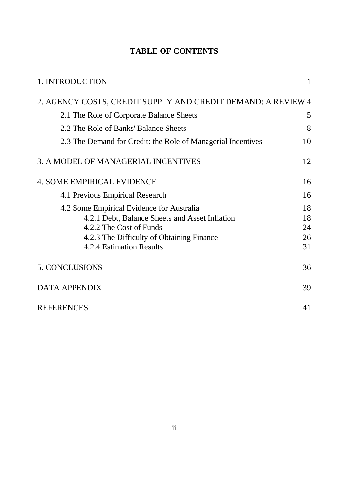# **TABLE OF CONTENTS**

| 1. INTRODUCTION                                                                                                                                                                                 | 1                          |
|-------------------------------------------------------------------------------------------------------------------------------------------------------------------------------------------------|----------------------------|
| 2. AGENCY COSTS, CREDIT SUPPLY AND CREDIT DEMAND: A REVIEW 4                                                                                                                                    |                            |
| 2.1 The Role of Corporate Balance Sheets                                                                                                                                                        | 5                          |
| 2.2 The Role of Banks' Balance Sheets                                                                                                                                                           | 8                          |
| 2.3 The Demand for Credit: the Role of Managerial Incentives                                                                                                                                    | 10                         |
| 3. A MODEL OF MANAGERIAL INCENTIVES                                                                                                                                                             | 12                         |
| <b>4. SOME EMPIRICAL EVIDENCE</b>                                                                                                                                                               | 16                         |
| 4.1 Previous Empirical Research                                                                                                                                                                 | 16                         |
| 4.2 Some Empirical Evidence for Australia<br>4.2.1 Debt, Balance Sheets and Asset Inflation<br>4.2.2 The Cost of Funds<br>4.2.3 The Difficulty of Obtaining Finance<br>4.2.4 Estimation Results | 18<br>18<br>24<br>26<br>31 |
| <b>5. CONCLUSIONS</b>                                                                                                                                                                           | 36                         |
| <b>DATA APPENDIX</b>                                                                                                                                                                            | 39                         |
| <b>REFERENCES</b>                                                                                                                                                                               | 41                         |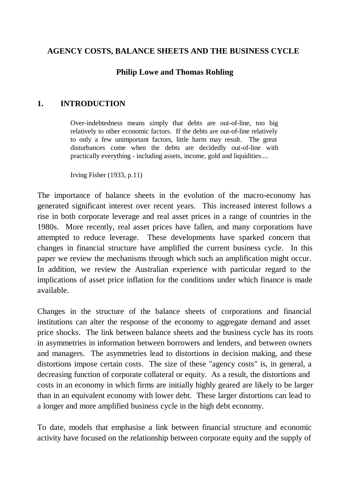### **AGENCY COSTS, BALANCE SHEETS AND THE BUSINESS CYCLE**

### **Philip Lowe and Thomas Rohling**

#### **1. INTRODUCTION**

Over-indebtedness means simply that debts are out-of-line, too big relatively to other economic factors. If the debts are out-of-line relatively to only a few unimportant factors, little harm may result. The great disturbances come when the debts are decidedly out-of-line with practically everything - including assets, income, gold and liquidities....

Irving Fisher (1933, p.11)

The importance of balance sheets in the evolution of the macro-economy has generated significant interest over recent years. This increased interest follows a rise in both corporate leverage and real asset prices in a range of countries in the 1980s. More recently, real asset prices have fallen, and many corporations have attempted to reduce leverage. These developments have sparked concern that changes in financial structure have amplified the current business cycle. In this paper we review the mechanisms through which such an amplification might occur. In addition, we review the Australian experience with particular regard to the implications of asset price inflation for the conditions under which finance is made available.

Changes in the structure of the balance sheets of corporations and financial institutions can alter the response of the economy to aggregate demand and asset price shocks. The link between balance sheets and the business cycle has its roots in asymmetries in information between borrowers and lenders, and between owners and managers. The asymmetries lead to distortions in decision making, and these distortions impose certain costs. The size of these "agency costs" is, in general, a decreasing function of corporate collateral or equity. As a result, the distortions and costs in an economy in which firms are initially highly geared are likely to be larger than in an equivalent economy with lower debt. These larger distortions can lead to a longer and more amplified business cycle in the high debt economy.

To date, models that emphasise a link between financial structure and economic activity have focused on the relationship between corporate equity and the supply of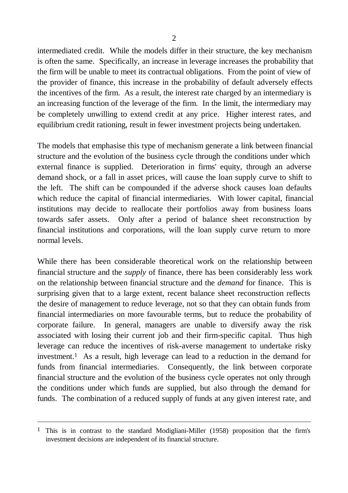intermediated credit. While the models differ in their structure, the key mechanism is often the same. Specifically, an increase in leverage increases the probability that the firm will be unable to meet its contractual obligations. From the point of view of the provider of finance, this increase in the probability of default adversely effects the incentives of the firm. As a result, the interest rate charged by an intermediary is an increasing function of the leverage of the firm. In the limit, the intermediary may be completely unwilling to extend credit at any price. Higher interest rates, and equilibrium credit rationing, result in fewer investment projects being undertaken.

The models that emphasise this type of mechanism generate a link between financial structure and the evolution of the business cycle through the conditions under which external finance is supplied. Deterioration in firms' equity, through an adverse demand shock, or a fall in asset prices, will cause the loan supply curve to shift to the left. The shift can be compounded if the adverse shock causes loan defaults which reduce the capital of financial intermediaries. With lower capital, financial institutions may decide to reallocate their portfolios away from business loans towards safer assets. Only after a period of balance sheet reconstruction by financial institutions and corporations, will the loan supply curve return to more normal levels.

While there has been considerable theoretical work on the relationship between financial structure and the *supply* of finance, there has been considerably less work on the relationship between financial structure and the *demand* for finance. This is surprising given that to a large extent, recent balance sheet reconstruction reflects the desire of management to reduce leverage, not so that they can obtain funds from financial intermediaries on more favourable terms, but to reduce the probability of corporate failure. In general, managers are unable to diversify away the risk associated with losing their current job and their firm-specific capital. Thus high leverage can reduce the incentives of risk-averse management to undertake risky investment.1 As a result, high leverage can lead to a reduction in the demand for funds from financial intermediaries. Consequently, the link between corporate financial structure and the evolution of the business cycle operates not only through the conditions under which funds are supplied, but also through the demand for funds. The combination of a reduced supply of funds at any given interest rate, and

<sup>1</sup> This is in contrast to the standard Modigliani-Miller (1958) proposition that the firm's investment decisions are independent of its financial structure.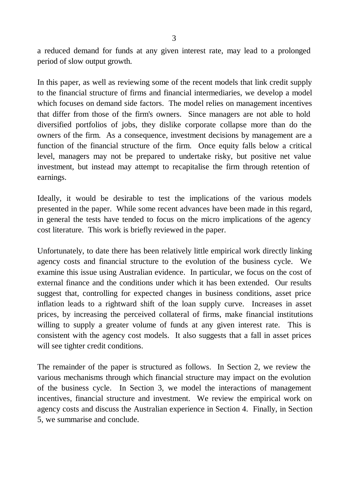a reduced demand for funds at any given interest rate, may lead to a prolonged period of slow output growth.

In this paper, as well as reviewing some of the recent models that link credit supply to the financial structure of firms and financial intermediaries, we develop a model which focuses on demand side factors. The model relies on management incentives that differ from those of the firm's owners. Since managers are not able to hold diversified portfolios of jobs, they dislike corporate collapse more than do the owners of the firm. As a consequence, investment decisions by management are a function of the financial structure of the firm. Once equity falls below a critical level, managers may not be prepared to undertake risky, but positive net value investment, but instead may attempt to recapitalise the firm through retention of earnings.

Ideally, it would be desirable to test the implications of the various models presented in the paper. While some recent advances have been made in this regard, in general the tests have tended to focus on the micro implications of the agency cost literature. This work is briefly reviewed in the paper.

Unfortunately, to date there has been relatively little empirical work directly linking agency costs and financial structure to the evolution of the business cycle. We examine this issue using Australian evidence. In particular, we focus on the cost of external finance and the conditions under which it has been extended. Our results suggest that, controlling for expected changes in business conditions, asset price inflation leads to a rightward shift of the loan supply curve. Increases in asset prices, by increasing the perceived collateral of firms, make financial institutions willing to supply a greater volume of funds at any given interest rate. This is consistent with the agency cost models. It also suggests that a fall in asset prices will see tighter credit conditions.

The remainder of the paper is structured as follows. In Section 2, we review the various mechanisms through which financial structure may impact on the evolution of the business cycle. In Section 3, we model the interactions of management incentives, financial structure and investment. We review the empirical work on agency costs and discuss the Australian experience in Section 4. Finally, in Section 5, we summarise and conclude.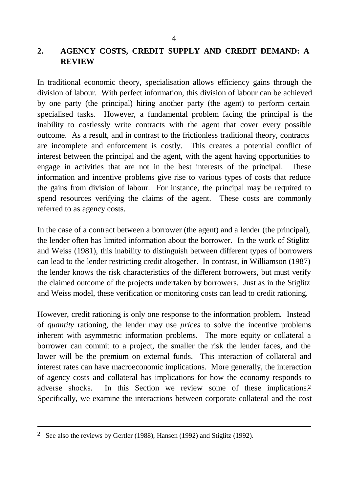## **2. AGENCY COSTS, CREDIT SUPPLY AND CREDIT DEMAND: A REVIEW**

In traditional economic theory, specialisation allows efficiency gains through the division of labour. With perfect information, this division of labour can be achieved by one party (the principal) hiring another party (the agent) to perform certain specialised tasks. However, a fundamental problem facing the principal is the inability to costlessly write contracts with the agent that cover every possible outcome. As a result, and in contrast to the frictionless traditional theory, contracts are incomplete and enforcement is costly. This creates a potential conflict of interest between the principal and the agent, with the agent having opportunities to engage in activities that are not in the best interests of the principal. These information and incentive problems give rise to various types of costs that reduce the gains from division of labour. For instance, the principal may be required to spend resources verifying the claims of the agent. These costs are commonly referred to as agency costs.

In the case of a contract between a borrower (the agent) and a lender (the principal), the lender often has limited information about the borrower. In the work of Stiglitz and Weiss (1981), this inability to distinguish between different types of borrowers can lead to the lender restricting credit altogether. In contrast, in Williamson (1987) the lender knows the risk characteristics of the different borrowers, but must verify the claimed outcome of the projects undertaken by borrowers. Just as in the Stiglitz and Weiss model, these verification or monitoring costs can lead to credit rationing.

However, credit rationing is only one response to the information problem. Instead of *quantity* rationing, the lender may use *prices* to solve the incentive problems inherent with asymmetric information problems. The more equity or collateral a borrower can commit to a project, the smaller the risk the lender faces, and the lower will be the premium on external funds. This interaction of collateral and interest rates can have macroeconomic implications. More generally, the interaction of agency costs and collateral has implications for how the economy responds to adverse shocks. In this Section we review some of these implications.2 Specifically, we examine the interactions between corporate collateral and the cost

<sup>2</sup> See also the reviews by Gertler (1988), Hansen (1992) and Stiglitz (1992).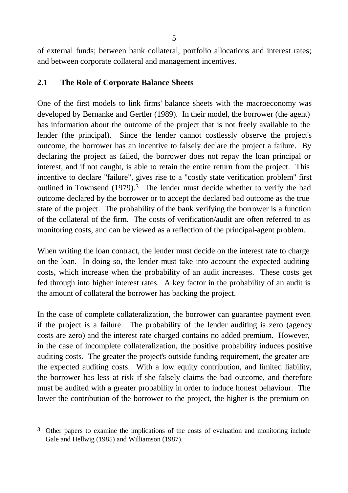of external funds; between bank collateral, portfolio allocations and interest rates; and between corporate collateral and management incentives.

## **2.1 The Role of Corporate Balance Sheets**

One of the first models to link firms' balance sheets with the macroeconomy was developed by Bernanke and Gertler (1989). In their model, the borrower (the agent) has information about the outcome of the project that is not freely available to the lender (the principal). Since the lender cannot costlessly observe the project's outcome, the borrower has an incentive to falsely declare the project a failure. By declaring the project as failed, the borrower does not repay the loan principal or interest, and if not caught, is able to retain the entire return from the project. This incentive to declare "failure", gives rise to a "costly state verification problem" first outlined in Townsend (1979).<sup>3</sup> The lender must decide whether to verify the bad outcome declared by the borrower or to accept the declared bad outcome as the true state of the project. The probability of the bank verifying the borrower is a function of the collateral of the firm. The costs of verification/audit are often referred to as monitoring costs, and can be viewed as a reflection of the principal-agent problem.

When writing the loan contract, the lender must decide on the interest rate to charge on the loan. In doing so, the lender must take into account the expected auditing costs, which increase when the probability of an audit increases. These costs get fed through into higher interest rates. A key factor in the probability of an audit is the amount of collateral the borrower has backing the project.

In the case of complete collateralization, the borrower can guarantee payment even if the project is a failure. The probability of the lender auditing is zero (agency costs are zero) and the interest rate charged contains no added premium. However, in the case of incomplete collateralization, the positive probability induces positive auditing costs. The greater the project's outside funding requirement, the greater are the expected auditing costs. With a low equity contribution, and limited liability, the borrower has less at risk if she falsely claims the bad outcome, and therefore must be audited with a greater probability in order to induce honest behaviour. The lower the contribution of the borrower to the project, the higher is the premium on

<sup>&</sup>lt;sup>3</sup> Other papers to examine the implications of the costs of evaluation and monitoring include Gale and Hellwig (1985) and Williamson (1987).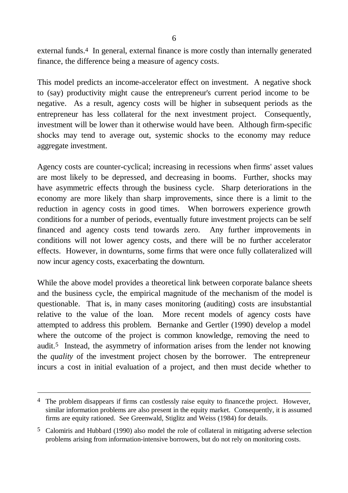external funds.<sup>4</sup> In general, external finance is more costly than internally generated finance, the difference being a measure of agency costs.

This model predicts an income-accelerator effect on investment. A negative shock to (say) productivity might cause the entrepreneur's current period income to be negative. As a result, agency costs will be higher in subsequent periods as the entrepreneur has less collateral for the next investment project. Consequently, investment will be lower than it otherwise would have been. Although firm-specific shocks may tend to average out, systemic shocks to the economy may reduce aggregate investment.

Agency costs are counter-cyclical; increasing in recessions when firms' asset values are most likely to be depressed, and decreasing in booms. Further, shocks may have asymmetric effects through the business cycle. Sharp deteriorations in the economy are more likely than sharp improvements, since there is a limit to the reduction in agency costs in good times. When borrowers experience growth conditions for a number of periods, eventually future investment projects can be self financed and agency costs tend towards zero. Any further improvements in conditions will not lower agency costs, and there will be no further accelerator effects. However, in downturns, some firms that were once fully collateralized will now incur agency costs, exacerbating the downturn.

While the above model provides a theoretical link between corporate balance sheets and the business cycle, the empirical magnitude of the mechanism of the model is questionable. That is, in many cases monitoring (auditing) costs are insubstantial relative to the value of the loan. More recent models of agency costs have attempted to address this problem. Bernanke and Gertler (1990) develop a model where the outcome of the project is common knowledge, removing the need to audit.5 Instead, the asymmetry of information arises from the lender not knowing the *quality* of the investment project chosen by the borrower. The entrepreneur incurs a cost in initial evaluation of a project, and then must decide whether to

<sup>&</sup>lt;sup>4</sup> The problem disappears if firms can costlessly raise equity to finance the project. However, similar information problems are also present in the equity market. Consequently, it is assumed firms are equity rationed. See Greenwald, Stiglitz and Weiss (1984) for details.

<sup>5</sup> Calomiris and Hubbard (1990) also model the role of collateral in mitigating adverse selection problems arising from information-intensive borrowers, but do not rely on monitoring costs.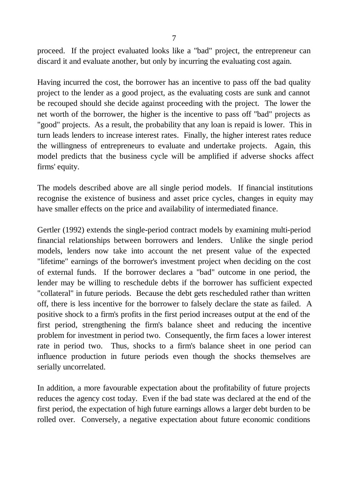proceed. If the project evaluated looks like a "bad" project, the entrepreneur can discard it and evaluate another, but only by incurring the evaluating cost again.

Having incurred the cost, the borrower has an incentive to pass off the bad quality project to the lender as a good project, as the evaluating costs are sunk and cannot be recouped should she decide against proceeding with the project. The lower the net worth of the borrower, the higher is the incentive to pass off "bad" projects as "good" projects. As a result, the probability that any loan is repaid is lower. This in turn leads lenders to increase interest rates. Finally, the higher interest rates reduce the willingness of entrepreneurs to evaluate and undertake projects. Again, this model predicts that the business cycle will be amplified if adverse shocks affect firms' equity.

The models described above are all single period models. If financial institutions recognise the existence of business and asset price cycles, changes in equity may have smaller effects on the price and availability of intermediated finance.

Gertler (1992) extends the single-period contract models by examining multi-period financial relationships between borrowers and lenders. Unlike the single period models, lenders now take into account the net present value of the expected "lifetime" earnings of the borrower's investment project when deciding on the cost of external funds. If the borrower declares a "bad" outcome in one period, the lender may be willing to reschedule debts if the borrower has sufficient expected "collateral" in future periods. Because the debt gets rescheduled rather than written off, there is less incentive for the borrower to falsely declare the state as failed. A positive shock to a firm's profits in the first period increases output at the end of the first period, strengthening the firm's balance sheet and reducing the incentive problem for investment in period two. Consequently, the firm faces a lower interest rate in period two. Thus, shocks to a firm's balance sheet in one period can influence production in future periods even though the shocks themselves are serially uncorrelated.

In addition, a more favourable expectation about the profitability of future projects reduces the agency cost today. Even if the bad state was declared at the end of the first period, the expectation of high future earnings allows a larger debt burden to be rolled over. Conversely, a negative expectation about future economic conditions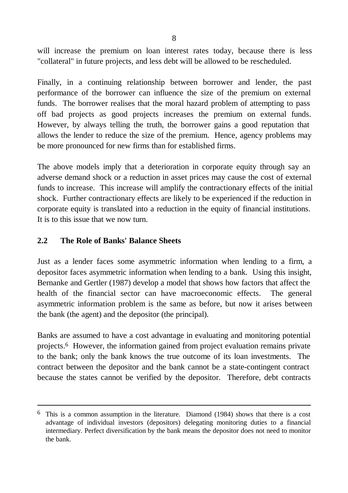will increase the premium on loan interest rates today, because there is less "collateral" in future projects, and less debt will be allowed to be rescheduled.

Finally, in a continuing relationship between borrower and lender, the past performance of the borrower can influence the size of the premium on external funds. The borrower realises that the moral hazard problem of attempting to pass off bad projects as good projects increases the premium on external funds. However, by always telling the truth, the borrower gains a good reputation that allows the lender to reduce the size of the premium. Hence, agency problems may be more pronounced for new firms than for established firms.

The above models imply that a deterioration in corporate equity through say an adverse demand shock or a reduction in asset prices may cause the cost of external funds to increase. This increase will amplify the contractionary effects of the initial shock. Further contractionary effects are likely to be experienced if the reduction in corporate equity is translated into a reduction in the equity of financial institutions. It is to this issue that we now turn.

#### **2.2 The Role of Banks' Balance Sheets**

l

Just as a lender faces some asymmetric information when lending to a firm, a depositor faces asymmetric information when lending to a bank. Using this insight, Bernanke and Gertler (1987) develop a model that shows how factors that affect the health of the financial sector can have macroeconomic effects. The general asymmetric information problem is the same as before, but now it arises between the bank (the agent) and the depositor (the principal).

Banks are assumed to have a cost advantage in evaluating and monitoring potential projects.6 However, the information gained from project evaluation remains private to the bank; only the bank knows the true outcome of its loan investments. The contract between the depositor and the bank cannot be a state-contingent contract because the states cannot be verified by the depositor. Therefore, debt contracts

<sup>6</sup> This is a common assumption in the literature. Diamond (1984) shows that there is a cost advantage of individual investors (depositors) delegating monitoring duties to a financial intermediary. Perfect diversification by the bank means the depositor does not need to monitor the bank.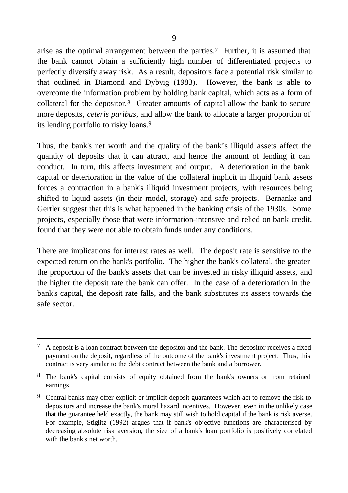arise as the optimal arrangement between the parties.7 Further, it is assumed that the bank cannot obtain a sufficiently high number of differentiated projects to perfectly diversify away risk. As a result, depositors face a potential risk similar to that outlined in Diamond and Dybvig (1983). However, the bank is able to overcome the information problem by holding bank capital, which acts as a form of collateral for the depositor.8 Greater amounts of capital allow the bank to secure more deposits, *ceteris paribus*, and allow the bank to allocate a larger proportion of its lending portfolio to risky loans.9

Thus, the bank's net worth and the quality of the bank's illiquid assets affect the quantity of deposits that it can attract, and hence the amount of lending it can conduct. In turn, this affects investment and output. A deterioration in the bank capital or deterioration in the value of the collateral implicit in illiquid bank assets forces a contraction in a bank's illiquid investment projects, with resources being shifted to liquid assets (in their model, storage) and safe projects. Bernanke and Gertler suggest that this is what happened in the banking crisis of the 1930s. Some projects, especially those that were information-intensive and relied on bank credit, found that they were not able to obtain funds under any conditions.

There are implications for interest rates as well. The deposit rate is sensitive to the expected return on the bank's portfolio. The higher the bank's collateral, the greater the proportion of the bank's assets that can be invested in risky illiquid assets, and the higher the deposit rate the bank can offer. In the case of a deterioration in the bank's capital, the deposit rate falls, and the bank substitutes its assets towards the safe sector.

<sup>7</sup> A deposit is a loan contract between the depositor and the bank. The depositor receives a fixed payment on the deposit, regardless of the outcome of the bank's investment project. Thus, this contract is very similar to the debt contract between the bank and a borrower.

<sup>&</sup>lt;sup>8</sup> The bank's capital consists of equity obtained from the bank's owners or from retained earnings.

<sup>&</sup>lt;sup>9</sup> Central banks may offer explicit or implicit deposit guarantees which act to remove the risk to depositors and increase the bank's moral hazard incentives. However, even in the unlikely case that the guarantee held exactly, the bank may still wish to hold capital if the bank is risk averse. For example, Stiglitz (1992) argues that if bank's objective functions are characterised by decreasing absolute risk aversion, the size of a bank's loan portfolio is positively correlated with the bank's net worth.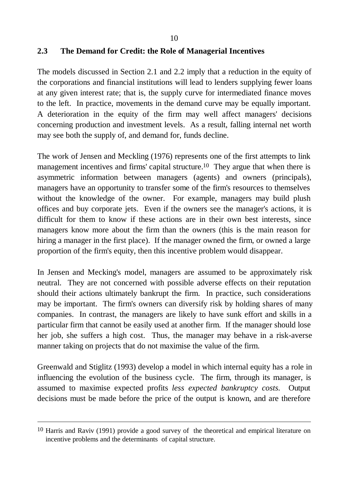#### **2.3 The Demand for Credit: the Role of Managerial Incentives**

The models discussed in Section 2.1 and 2.2 imply that a reduction in the equity of the corporations and financial institutions will lead to lenders supplying fewer loans at any given interest rate; that is, the supply curve for intermediated finance moves to the left. In practice, movements in the demand curve may be equally important. A deterioration in the equity of the firm may well affect managers' decisions concerning production and investment levels. As a result, falling internal net worth may see both the supply of, and demand for, funds decline.

The work of Jensen and Meckling (1976) represents one of the first attempts to link management incentives and firms' capital structure.<sup>10</sup> They argue that when there is asymmetric information between managers (agents) and owners (principals), managers have an opportunity to transfer some of the firm's resources to themselves without the knowledge of the owner. For example, managers may build plush offices and buy corporate jets. Even if the owners see the manager's actions, it is difficult for them to know if these actions are in their own best interests, since managers know more about the firm than the owners (this is the main reason for hiring a manager in the first place). If the manager owned the firm, or owned a large proportion of the firm's equity, then this incentive problem would disappear.

In Jensen and Mecking's model, managers are assumed to be approximately risk neutral. They are not concerned with possible adverse effects on their reputation should their actions ultimately bankrupt the firm. In practice, such considerations may be important. The firm's owners can diversify risk by holding shares of many companies. In contrast, the managers are likely to have sunk effort and skills in a particular firm that cannot be easily used at another firm. If the manager should lose her job, she suffers a high cost. Thus, the manager may behave in a risk-averse manner taking on projects that do not maximise the value of the firm.

Greenwald and Stiglitz (1993) develop a model in which internal equity has a role in influencing the evolution of the business cycle. The firm, through its manager, is assumed to maximise expected profits *less expected bankruptcy costs.* Output decisions must be made before the price of the output is known, and are therefore

<sup>10</sup> Harris and Raviv (1991) provide a good survey of the theoretical and empirical literature on incentive problems and the determinants of capital structure.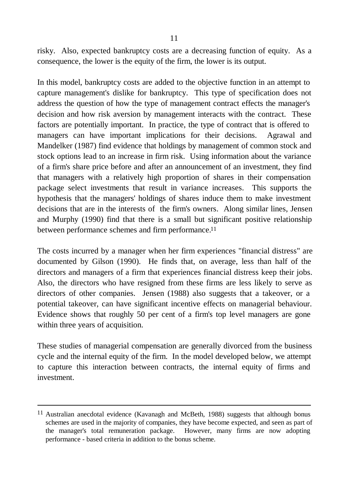risky. Also, expected bankruptcy costs are a decreasing function of equity. As a consequence, the lower is the equity of the firm, the lower is its output.

In this model, bankruptcy costs are added to the objective function in an attempt to capture management's dislike for bankruptcy. This type of specification does not address the question of how the type of management contract effects the manager's decision and how risk aversion by management interacts with the contract. These factors are potentially important. In practice, the type of contract that is offered to managers can have important implications for their decisions. Agrawal and Mandelker (1987) find evidence that holdings by management of common stock and stock options lead to an increase in firm risk. Using information about the variance of a firm's share price before and after an announcement of an investment, they find that managers with a relatively high proportion of shares in their compensation package select investments that result in variance increases. This supports the hypothesis that the managers' holdings of shares induce them to make investment decisions that are in the interests of the firm's owners. Along similar lines, Jensen and Murphy (1990) find that there is a small but significant positive relationship between performance schemes and firm performance.<sup>11</sup>

The costs incurred by a manager when her firm experiences "financial distress" are documented by Gilson (1990). He finds that, on average, less than half of the directors and managers of a firm that experiences financial distress keep their jobs. Also, the directors who have resigned from these firms are less likely to serve as directors of other companies. Jensen (1988) also suggests that a takeover, or a potential takeover, can have significant incentive effects on managerial behaviour. Evidence shows that roughly 50 per cent of a firm's top level managers are gone within three years of acquisition.

These studies of managerial compensation are generally divorced from the business cycle and the internal equity of the firm. In the model developed below, we attempt to capture this interaction between contracts, the internal equity of firms and investment.

l

<sup>11</sup> Australian anecdotal evidence (Kavanagh and McBeth, 1988) suggests that although bonus schemes are used in the majority of companies, they have become expected, and seen as part of the manager's total remuneration package. However, many firms are now adopting performance - based criteria in addition to the bonus scheme.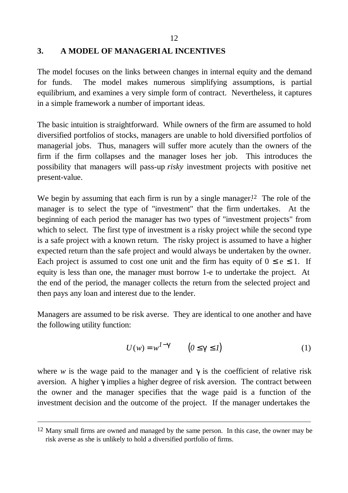12

#### **3. A MODEL OF MANAGERIAL INCENTIVES**

The model focuses on the links between changes in internal equity and the demand for funds. The model makes numerous simplifying assumptions, is partial equilibrium, and examines a very simple form of contract. Nevertheless, it captures in a simple framework a number of important ideas.

The basic intuition is straightforward. While owners of the firm are assumed to hold diversified portfolios of stocks, managers are unable to hold diversified portfolios of managerial jobs. Thus, managers will suffer more acutely than the owners of the firm if the firm collapses and the manager loses her job. This introduces the possibility that managers will pass-up *risky* investment projects with positive net present-value.

We begin by assuming that each firm is run by a single manager.<sup>12</sup> The role of the manager is to select the type of "investment" that the firm undertakes. At the beginning of each period the manager has two types of "investment projects" from which to select. The first type of investment is a risky project while the second type is a safe project with a known return. The risky project is assumed to have a higher expected return than the safe project and would always be undertaken by the owner. Each project is assumed to cost one unit and the firm has equity of  $0 \le e \le 1$ . If equity is less than one, the manager must borrow 1-e to undertake the project. At the end of the period, the manager collects the return from the selected project and then pays any loan and interest due to the lender.

Managers are assumed to be risk averse. They are identical to one another and have the following utility function:

$$
U(w) = w^{1-\mathcal{B}} \qquad (0 \le \mathbf{g} \le 1)
$$
 (1)

where *w* is the wage paid to the manager and  $\boldsymbol{\xi}$  is the coefficient of relative risk aversion. A higher *g*implies a higher degree of risk aversion. The contract between the owner and the manager specifies that the wage paid is a function of the investment decision and the outcome of the project. If the manager undertakes the

<sup>&</sup>lt;sup>12</sup> Many small firms are owned and managed by the same person. In this case, the owner may be risk averse as she is unlikely to hold a diversified portfolio of firms.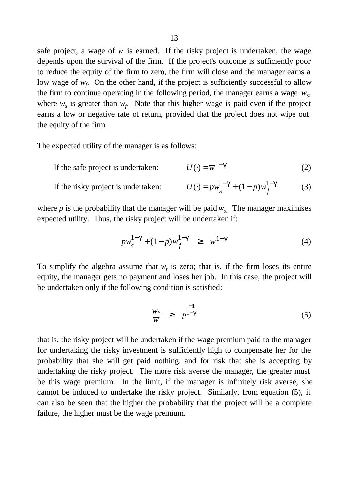safe project, a wage of  $\overline{w}$  is earned. If the risky project is undertaken, the wage depends upon the survival of the firm. If the project's outcome is sufficiently poor to reduce the equity of the firm to zero, the firm will close and the manager earns a low wage of  $w_f$ . On the other hand, if the project is sufficiently successful to allow the firm to continue operating in the following period, the manager earns a wage  $w_s$ , where  $w_s$  is greater than  $w_f$ . Note that this higher wage is paid even if the project earns a low or negative rate of return, provided that the project does not wipe out the equity of the firm.

The expected utility of the manager is as follows:

If the safe project is undertaken:  $U(\cdot) = \overline{w}^{1-\mathcal{G}}$  (2)

If the risky project is undertaken: 
$$
U(\cdot) = pw_s^{1-\mathcal{B}} + (1-p)w_f^{1-\mathcal{B}}
$$
 (3)

where  $p$  is the probability that the manager will be paid  $w_s$ . The manager maximises expected utility. Thus, the risky project will be undertaken if:

$$
p w_s^{1-\mathcal{S}} + (1-p) w_f^{1-\mathcal{S}} \ge \overline{w}^{1-\mathcal{S}} \tag{4}
$$

To simplify the algebra assume that  $w_f$  is zero; that is, if the firm loses its entire equity, the manager gets no payment and loses her job. In this case, the project will be undertaken only if the following condition is satisfied:

$$
\frac{w_S}{\overline{w}} \ge p^{\frac{-1}{1-g}} \tag{5}
$$

that is, the risky project will be undertaken if the wage premium paid to the manager for undertaking the risky investment is sufficiently high to compensate her for the probability that she will get paid nothing, and for risk that she is accepting by undertaking the risky project. The more risk averse the manager, the greater must be this wage premium. In the limit, if the manager is infinitely risk averse, she cannot be induced to undertake the risky project. Similarly, from equation (5), it can also be seen that the higher the probability that the project will be a complete failure, the higher must be the wage premium.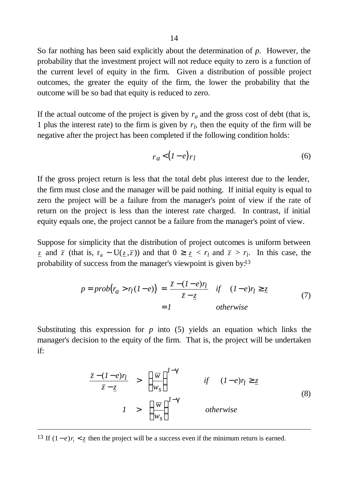So far nothing has been said explicitly about the determination of *p*. However, the probability that the investment project will not reduce equity to zero is a function of the current level of equity in the firm. Given a distribution of possible project outcomes, the greater the equity of the firm, the lower the probability that the outcome will be so bad that equity is reduced to zero.

If the actual outcome of the project is given by  $r_a$  and the gross cost of debt (that is, 1 plus the interest rate) to the firm is given by  $r_l$ , then the equity of the firm will be negative after the project has been completed if the following condition holds:

$$
r_a < (1 - e) r_l \tag{6}
$$

If the gross project return is less that the total debt plus interest due to the lender, the firm must close and the manager will be paid nothing. If initial equity is equal to zero the project will be a failure from the manager's point of view if the rate of return on the project is less than the interest rate charged. In contrast, if initial equity equals one, the project cannot be a failure from the manager's point of view.

Suppose for simplicity that the distribution of project outcomes is uniform between *z* and  $\overline{z}$  (that is,  $r_a \sim U(\underline{z}, \overline{z})$ ) and that  $0 \ge \underline{z} < r_l$  and  $\overline{z} > r_l$ . In this case, the probability of success from the manager's viewpoint is given by:13

$$
p = prob(r_a > r_l(l-e)) = \frac{\overline{z} - (l-e)r_l}{\overline{z} - \underline{z}} \quad \text{if} \quad (l-e)r_l \ge \underline{z}
$$
  
= l \quad otherwise \tag{7}

Substituting this expression for *p* into (5) yields an equation which links the manager's decision to the equity of the firm. That is, the project will be undertaken if:

$$
\frac{\overline{z} - (1 - e)\eta}{\overline{z} - \underline{z}} > \left(\frac{\overline{w}}{w_s}\right)^{1 - \mathbf{g}} \qquad \text{if} \qquad (1 - e)\eta \ge \underline{z}
$$
\n
$$
1 > \left(\frac{\overline{w}}{w_s}\right)^{1 - \mathbf{g}} \qquad \text{otherwise}
$$
\n(8)

<sup>13</sup> If  $(1-e)r_1 < \underline{z}$  then the project will be a success even if the minimum return is earned.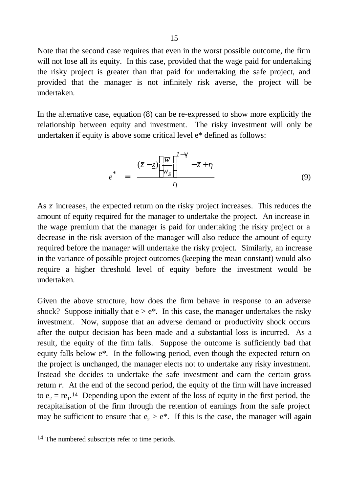Note that the second case requires that even in the worst possible outcome, the firm will not lose all its equity. In this case, provided that the wage paid for undertaking the risky project is greater than that paid for undertaking the safe project, and provided that the manager is not infinitely risk averse, the project will be undertaken.

In the alternative case, equation (8) can be re-expressed to show more explicitly the relationship between equity and investment. The risky investment will only be undertaken if equity is above some critical level e\* defined as follows:

$$
e^* = \frac{(\bar{z} - \underline{z}) \left[ \frac{\overline{w}}{w_s} \right]^{1-\mathcal{B}} - \bar{z} + r_l}{r_l}
$$
(9)

As  $\bar{z}$  increases, the expected return on the risky project increases. This reduces the amount of equity required for the manager to undertake the project. An increase in the wage premium that the manager is paid for undertaking the risky project or a decrease in the risk aversion of the manager will also reduce the amount of equity required before the manager will undertake the risky project. Similarly, an increase in the variance of possible project outcomes (keeping the mean constant) would also require a higher threshold level of equity before the investment would be undertaken.

Given the above structure, how does the firm behave in response to an adverse shock? Suppose initially that  $e > e^*$ . In this case, the manager undertakes the risky investment. Now, suppose that an adverse demand or productivity shock occurs after the output decision has been made and a substantial loss is incurred. As a result, the equity of the firm falls. Suppose the outcome is sufficiently bad that equity falls below e\*. In the following period, even though the expected return on the project is unchanged, the manager elects not to undertake any risky investment. Instead she decides to undertake the safe investment and earn the certain gross return *r*. At the end of the second period, the equity of the firm will have increased to  $e_2 = re_1$ .<sup>14</sup> Depending upon the extent of the loss of equity in the first period, the recapitalisation of the firm through the retention of earnings from the safe project may be sufficient to ensure that  $e_2 > e^*$ . If this is the case, the manager will again

<sup>14</sup> The numbered subscripts refer to time periods.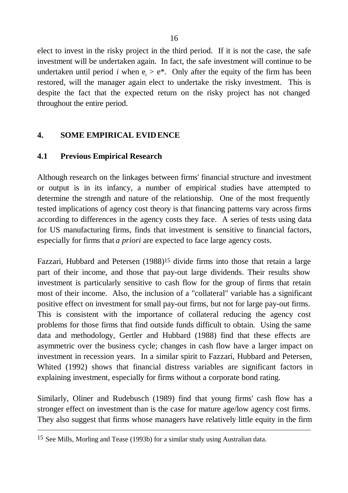elect to invest in the risky project in the third period. If it is not the case, the safe investment will be undertaken again. In fact, the safe investment will continue to be undertaken until period *i* when  $e_i > e^*$ . Only after the equity of the firm has been restored, will the manager again elect to undertake the risky investment. This is despite the fact that the expected return on the risky project has not changed throughout the entire period.

### **4. SOME EMPIRICAL EVIDENCE**

#### **4.1 Previous Empirical Research**

Although research on the linkages between firms' financial structure and investment or output is in its infancy, a number of empirical studies have attempted to determine the strength and nature of the relationship. One of the most frequently tested implications of agency cost theory is that financing patterns vary across firms according to differences in the agency costs they face. A series of tests using data for US manufacturing firms, finds that investment is sensitive to financial factors, especially for firms that *a priori* are expected to face large agency costs.

Fazzari, Hubbard and Petersen (1988)<sup>15</sup> divide firms into those that retain a large part of their income, and those that pay-out large dividends. Their results show investment is particularly sensitive to cash flow for the group of firms that retain most of their income. Also, the inclusion of a "collateral" variable has a significant positive effect on investment for small pay-out firms, but not for large pay-out firms. This is consistent with the importance of collateral reducing the agency cost problems for those firms that find outside funds difficult to obtain. Using the same data and methodology, Gertler and Hubbard (1988) find that these effects are asymmetric over the business cycle; changes in cash flow have a larger impact on investment in recession years. In a similar spirit to Fazzari, Hubbard and Petersen, Whited (1992) shows that financial distress variables are significant factors in explaining investment, especially for firms without a corporate bond rating.

Similarly, Oliner and Rudebusch (1989) find that young firms' cash flow has a stronger effect on investment than is the case for mature age/low agency cost firms. They also suggest that firms whose managers have relatively little equity in the firm

<sup>15</sup> See Mills, Morling and Tease (1993b) for a similar study using Australian data.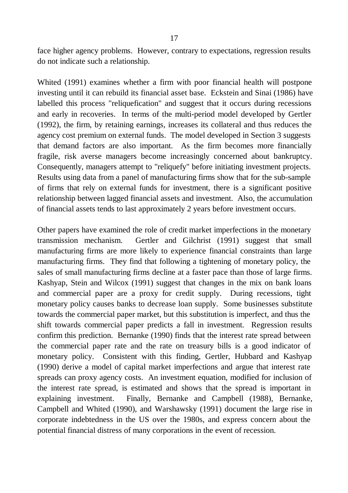face higher agency problems. However, contrary to expectations, regression results do not indicate such a relationship.

Whited (1991) examines whether a firm with poor financial health will postpone investing until it can rebuild its financial asset base. Eckstein and Sinai (1986) have labelled this process "reliquefication" and suggest that it occurs during recessions and early in recoveries. In terms of the multi-period model developed by Gertler (1992), the firm, by retaining earnings, increases its collateral and thus reduces the agency cost premium on external funds. The model developed in Section 3 suggests that demand factors are also important. As the firm becomes more financially fragile, risk averse managers become increasingly concerned about bankruptcy. Consequently, managers attempt to "reliquefy" before initiating investment projects. Results using data from a panel of manufacturing firms show that for the sub-sample of firms that rely on external funds for investment, there is a significant positive relationship between lagged financial assets and investment. Also, the accumulation of financial assets tends to last approximately 2 years before investment occurs.

Other papers have examined the role of credit market imperfections in the monetary transmission mechanism. Gertler and Gilchrist (1991) suggest that small manufacturing firms are more likely to experience financial constraints than large manufacturing firms. They find that following a tightening of monetary policy, the sales of small manufacturing firms decline at a faster pace than those of large firms. Kashyap, Stein and Wilcox (1991) suggest that changes in the mix on bank loans and commercial paper are a proxy for credit supply. During recessions, tight monetary policy causes banks to decrease loan supply. Some businesses substitute towards the commercial paper market, but this substitution is imperfect, and thus the shift towards commercial paper predicts a fall in investment. Regression results confirm this prediction. Bernanke (1990) finds that the interest rate spread between the commercial paper rate and the rate on treasury bills is a good indicator of monetary policy. Consistent with this finding, Gertler, Hubbard and Kashyap (1990) derive a model of capital market imperfections and argue that interest rate spreads can proxy agency costs. An investment equation, modified for inclusion of the interest rate spread, is estimated and shows that the spread is important in explaining investment. Finally, Bernanke and Campbell (1988), Bernanke, Campbell and Whited (1990), and Warshawsky (1991) document the large rise in corporate indebtedness in the US over the 1980s, and express concern about the potential financial distress of many corporations in the event of recession.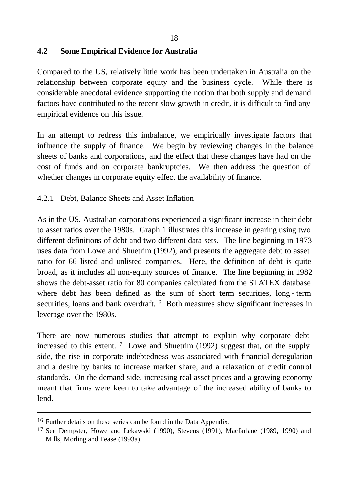### **4.2 Some Empirical Evidence for Australia**

Compared to the US, relatively little work has been undertaken in Australia on the relationship between corporate equity and the business cycle. While there is considerable anecdotal evidence supporting the notion that both supply and demand factors have contributed to the recent slow growth in credit, it is difficult to find any empirical evidence on this issue.

In an attempt to redress this imbalance, we empirically investigate factors that influence the supply of finance. We begin by reviewing changes in the balance sheets of banks and corporations, and the effect that these changes have had on the cost of funds and on corporate bankruptcies. We then address the question of whether changes in corporate equity effect the availability of finance.

## 4.2.1 Debt, Balance Sheets and Asset Inflation

As in the US, Australian corporations experienced a significant increase in their debt to asset ratios over the 1980s. Graph 1 illustrates this increase in gearing using two different definitions of debt and two different data sets. The line beginning in 1973 uses data from Lowe and Shuetrim (1992), and presents the aggregate debt to asset ratio for 66 listed and unlisted companies. Here, the definition of debt is quite broad, as it includes all non-equity sources of finance. The line beginning in 1982 shows the debt-asset ratio for 80 companies calculated from the STATEX database where debt has been defined as the sum of short term securities, long - term securities, loans and bank overdraft.16 Both measures show significant increases in leverage over the 1980s.

There are now numerous studies that attempt to explain why corporate debt increased to this extent.17 Lowe and Shuetrim (1992) suggest that, on the supply side, the rise in corporate indebtedness was associated with financial deregulation and a desire by banks to increase market share, and a relaxation of credit control standards. On the demand side, increasing real asset prices and a growing economy meant that firms were keen to take advantage of the increased ability of banks to lend.

l

<sup>16</sup> Further details on these series can be found in the Data Appendix.

<sup>17</sup> See Dempster, Howe and Lekawski (1990), Stevens (1991), Macfarlane (1989, 1990) and Mills, Morling and Tease (1993a).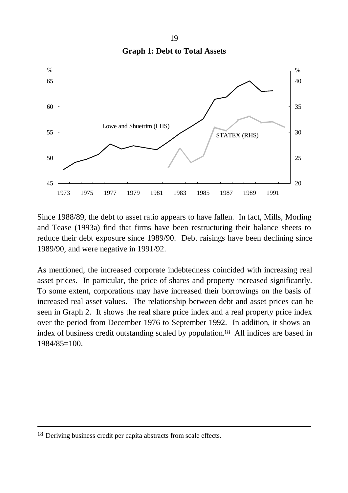19 **Graph 1: Debt to Total Assets**



Since 1988/89, the debt to asset ratio appears to have fallen. In fact, Mills, Morling and Tease (1993a) find that firms have been restructuring their balance sheets to reduce their debt exposure since 1989/90. Debt raisings have been declining since 1989/90, and were negative in 1991/92.

As mentioned, the increased corporate indebtedness coincided with increasing real asset prices. In particular, the price of shares and property increased significantly. To some extent, corporations may have increased their borrowings on the basis of increased real asset values. The relationship between debt and asset prices can be seen in Graph 2. It shows the real share price index and a real property price index over the period from December 1976 to September 1992. In addition, it shows an index of business credit outstanding scaled by population.18 All indices are based in 1984/85=100.

<sup>18</sup> Deriving business credit per capita abstracts from scale effects.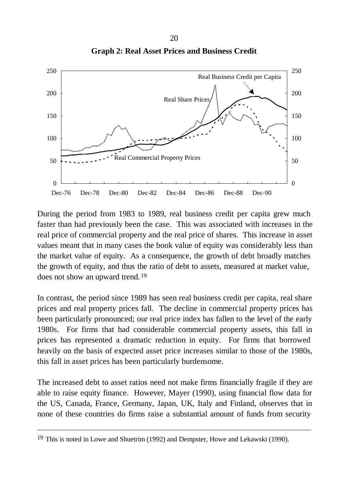

**Graph 2: Real Asset Prices and Business Credit**

During the period from 1983 to 1989, real business credit per capita grew much faster than had previously been the case. This was associated with increases in the real price of commercial property and the real price of shares. This increase in asset values meant that in many cases the book value of equity was considerably less than the market value of equity. As a consequence, the growth of debt broadly matches the growth of equity, and thus the ratio of debt to assets, measured at market value, does not show an upward trend.19

In contrast, the period since 1989 has seen real business credit per capita, real share prices and real property prices fall. The decline in commercial property prices has been particularly pronounced; our real price index has fallen to the level of the early 1980s. For firms that had considerable commercial property assets, this fall in prices has represented a dramatic reduction in equity. For firms that borrowed heavily on the basis of expected asset price increases similar to those of the 1980s, this fall in asset prices has been particularly burdensome.

The increased debt to asset ratios need not make firms financially fragile if they are able to raise equity finance. However, Mayer (1990), using financial flow data for the US, Canada, France, Germany, Japan, UK, Italy and Finland, observes that in none of these countries do firms raise a substantial amount of funds from security

<sup>19</sup> This is noted in Lowe and Shuetrim (1992) and Dempster, Howe and Lekawski (1990).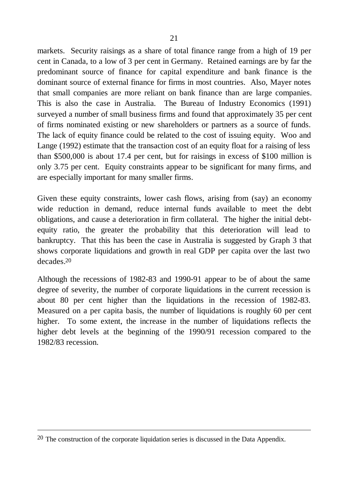markets. Security raisings as a share of total finance range from a high of 19 per cent in Canada, to a low of 3 per cent in Germany. Retained earnings are by far the predominant source of finance for capital expenditure and bank finance is the dominant source of external finance for firms in most countries. Also, Mayer notes that small companies are more reliant on bank finance than are large companies. This is also the case in Australia. The Bureau of Industry Economics (1991) surveyed a number of small business firms and found that approximately 35 per cent of firms nominated existing or new shareholders or partners as a source of funds. The lack of equity finance could be related to the cost of issuing equity. Woo and Lange (1992) estimate that the transaction cost of an equity float for a raising of less than \$500,000 is about 17.4 per cent, but for raisings in excess of \$100 million is only 3.75 per cent. Equity constraints appear to be significant for many firms, and are especially important for many smaller firms.

Given these equity constraints, lower cash flows, arising from (say) an economy wide reduction in demand, reduce internal funds available to meet the debt obligations, and cause a deterioration in firm collateral. The higher the initial debtequity ratio, the greater the probability that this deterioration will lead to bankruptcy. That this has been the case in Australia is suggested by Graph 3 that shows corporate liquidations and growth in real GDP per capita over the last two decades.20

Although the recessions of 1982-83 and 1990-91 appear to be of about the same degree of severity, the number of corporate liquidations in the current recession is about 80 per cent higher than the liquidations in the recession of 1982-83. Measured on a per capita basis, the number of liquidations is roughly 60 per cent higher. To some extent, the increase in the number of liquidations reflects the higher debt levels at the beginning of the 1990/91 recession compared to the 1982/83 recession.

<sup>20</sup> The construction of the corporate liquidation series is discussed in the Data Appendix.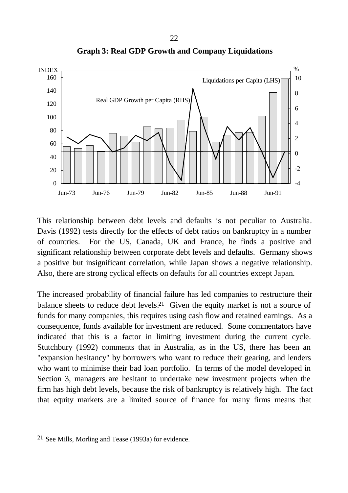

**Graph 3: Real GDP Growth and Company Liquidations**

This relationship between debt levels and defaults is not peculiar to Australia. Davis (1992) tests directly for the effects of debt ratios on bankruptcy in a number of countries. For the US, Canada, UK and France, he finds a positive and significant relationship between corporate debt levels and defaults. Germany shows a positive but insignificant correlation, while Japan shows a negative relationship. Also, there are strong cyclical effects on defaults for all countries except Japan.

The increased probability of financial failure has led companies to restructure their balance sheets to reduce debt levels.<sup>21</sup> Given the equity market is not a source of funds for many companies, this requires using cash flow and retained earnings. As a consequence, funds available for investment are reduced. Some commentators have indicated that this is a factor in limiting investment during the current cycle. Stutchbury (1992) comments that in Australia, as in the US, there has been an "expansion hesitancy" by borrowers who want to reduce their gearing, and lenders who want to minimise their bad loan portfolio. In terms of the model developed in Section 3, managers are hesitant to undertake new investment projects when the firm has high debt levels, because the risk of bankruptcy is relatively high. The fact that equity markets are a limited source of finance for many firms means that

<sup>21</sup> See Mills, Morling and Tease (1993a) for evidence.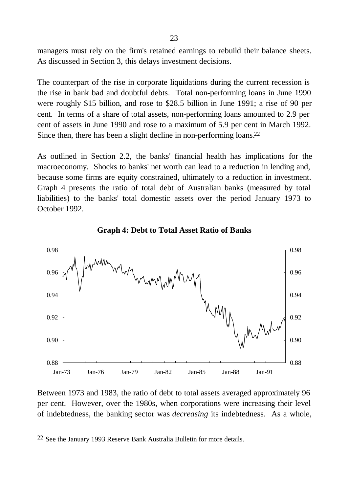managers must rely on the firm's retained earnings to rebuild their balance sheets. As discussed in Section 3, this delays investment decisions.

The counterpart of the rise in corporate liquidations during the current recession is the rise in bank bad and doubtful debts. Total non-performing loans in June 1990 were roughly \$15 billion, and rose to \$28.5 billion in June 1991; a rise of 90 per cent. In terms of a share of total assets, non-performing loans amounted to 2.9 per cent of assets in June 1990 and rose to a maximum of 5.9 per cent in March 1992. Since then, there has been a slight decline in non-performing loans.22

As outlined in Section 2.2, the banks' financial health has implications for the macroeconomy. Shocks to banks' net worth can lead to a reduction in lending and, because some firms are equity constrained, ultimately to a reduction in investment. Graph 4 presents the ratio of total debt of Australian banks (measured by total liabilities) to the banks' total domestic assets over the period January 1973 to October 1992.



**Graph 4: Debt to Total Asset Ratio of Banks**

Between 1973 and 1983, the ratio of debt to total assets averaged approximately 96 per cent. However, over the 1980s, when corporations were increasing their level of indebtedness, the banking sector was *decreasing* its indebtedness. As a whole,

<sup>22</sup> See the January 1993 Reserve Bank Australia Bulletin for more details.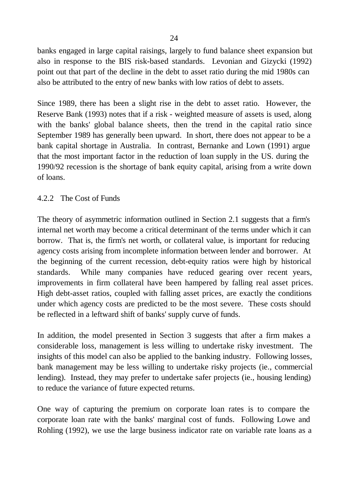banks engaged in large capital raisings, largely to fund balance sheet expansion but also in response to the BIS risk-based standards. Levonian and Gizycki (1992) point out that part of the decline in the debt to asset ratio during the mid 1980s can also be attributed to the entry of new banks with low ratios of debt to assets.

Since 1989, there has been a slight rise in the debt to asset ratio. However, the Reserve Bank (1993) notes that if a risk - weighted measure of assets is used, along with the banks' global balance sheets, then the trend in the capital ratio since September 1989 has generally been upward. In short, there does not appear to be a bank capital shortage in Australia. In contrast, Bernanke and Lown (1991) argue that the most important factor in the reduction of loan supply in the US. during the 1990/92 recession is the shortage of bank equity capital, arising from a write down of loans.

#### 4.2.2 The Cost of Funds

The theory of asymmetric information outlined in Section 2.1 suggests that a firm's internal net worth may become a critical determinant of the terms under which it can borrow. That is, the firm's net worth, or collateral value, is important for reducing agency costs arising from incomplete information between lender and borrower. At the beginning of the current recession, debt-equity ratios were high by historical standards. While many companies have reduced gearing over recent years, improvements in firm collateral have been hampered by falling real asset prices. High debt-asset ratios, coupled with falling asset prices, are exactly the conditions under which agency costs are predicted to be the most severe. These costs should be reflected in a leftward shift of banks' supply curve of funds.

In addition, the model presented in Section 3 suggests that after a firm makes a considerable loss, management is less willing to undertake risky investment. The insights of this model can also be applied to the banking industry. Following losses, bank management may be less willing to undertake risky projects (ie., commercial lending). Instead, they may prefer to undertake safer projects (ie., housing lending) to reduce the variance of future expected returns.

One way of capturing the premium on corporate loan rates is to compare the corporate loan rate with the banks' marginal cost of funds. Following Lowe and Rohling (1992), we use the large business indicator rate on variable rate loans as a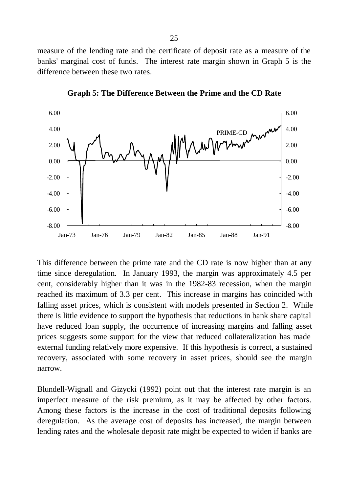measure of the lending rate and the certificate of deposit rate as a measure of the banks' marginal cost of funds. The interest rate margin shown in Graph 5 is the difference between these two rates.



**Graph 5: The Difference Between the Prime and the CD Rate**

This difference between the prime rate and the CD rate is now higher than at any time since deregulation. In January 1993, the margin was approximately 4.5 per cent, considerably higher than it was in the 1982-83 recession, when the margin reached its maximum of 3.3 per cent. This increase in margins has coincided with falling asset prices, which is consistent with models presented in Section 2. While there is little evidence to support the hypothesis that reductions in bank share capital have reduced loan supply, the occurrence of increasing margins and falling asset prices suggests some support for the view that reduced collateralization has made external funding relatively more expensive. If this hypothesis is correct, a sustained recovery, associated with some recovery in asset prices, should see the margin narrow.

Blundell-Wignall and Gizycki (1992) point out that the interest rate margin is an imperfect measure of the risk premium, as it may be affected by other factors. Among these factors is the increase in the cost of traditional deposits following deregulation. As the average cost of deposits has increased, the margin between lending rates and the wholesale deposit rate might be expected to widen if banks are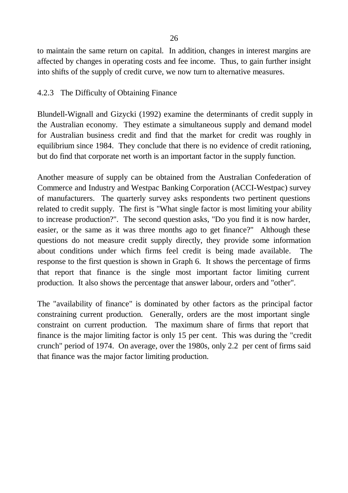to maintain the same return on capital. In addition, changes in interest margins are affected by changes in operating costs and fee income. Thus, to gain further insight into shifts of the supply of credit curve, we now turn to alternative measures.

#### 4.2.3 The Difficulty of Obtaining Finance

Blundell-Wignall and Gizycki (1992) examine the determinants of credit supply in the Australian economy. They estimate a simultaneous supply and demand model for Australian business credit and find that the market for credit was roughly in equilibrium since 1984. They conclude that there is no evidence of credit rationing, but do find that corporate net worth is an important factor in the supply function.

Another measure of supply can be obtained from the Australian Confederation of Commerce and Industry and Westpac Banking Corporation (ACCI-Westpac) survey of manufacturers. The quarterly survey asks respondents two pertinent questions related to credit supply. The first is "What single factor is most limiting your ability to increase production?". The second question asks, "Do you find it is now harder, easier, or the same as it was three months ago to get finance?" Although these questions do not measure credit supply directly, they provide some information about conditions under which firms feel credit is being made available. The response to the first question is shown in Graph 6. It shows the percentage of firms that report that finance is the single most important factor limiting current production. It also shows the percentage that answer labour, orders and "other".

The "availability of finance" is dominated by other factors as the principal factor constraining current production. Generally, orders are the most important single constraint on current production. The maximum share of firms that report that finance is the major limiting factor is only 15 per cent. This was during the "credit crunch" period of 1974. On average, over the 1980s, only 2.2 per cent of firms said that finance was the major factor limiting production.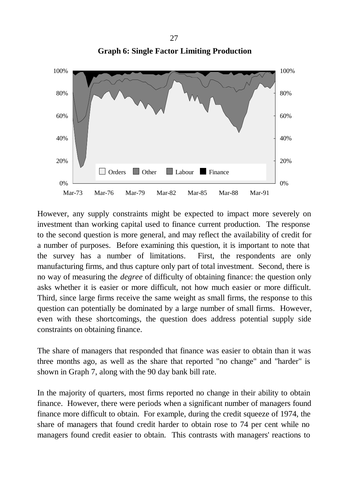

**Graph 6: Single Factor Limiting Production**

However, any supply constraints might be expected to impact more severely on investment than working capital used to finance current production. The response to the second question is more general, and may reflect the availability of credit for a number of purposes. Before examining this question, it is important to note that the survey has a number of limitations. First, the respondents are only manufacturing firms, and thus capture only part of total investment. Second, there is no way of measuring the *degree* of difficulty of obtaining finance: the question only asks whether it is easier or more difficult, not how much easier or more difficult. Third, since large firms receive the same weight as small firms, the response to this question can potentially be dominated by a large number of small firms. However, even with these shortcomings, the question does address potential supply side constraints on obtaining finance.

The share of managers that responded that finance was easier to obtain than it was three months ago, as well as the share that reported "no change" and "harder" is shown in Graph 7, along with the 90 day bank bill rate.

In the majority of quarters, most firms reported no change in their ability to obtain finance. However, there were periods when a significant number of managers found finance more difficult to obtain. For example, during the credit squeeze of 1974, the share of managers that found credit harder to obtain rose to 74 per cent while no managers found credit easier to obtain. This contrasts with managers' reactions to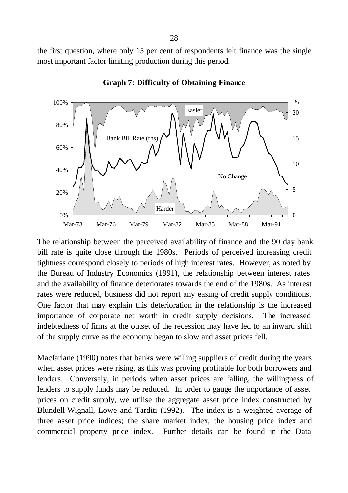the first question, where only 15 per cent of respondents felt finance was the single most important factor limiting production during this period.



#### **Graph 7: Difficulty of Obtaining Finance**

The relationship between the perceived availability of finance and the 90 day bank bill rate is quite close through the 1980s. Periods of perceived increasing credit tightness correspond closely to periods of high interest rates. However, as noted by the Bureau of Industry Economics (1991), the relationship between interest rates and the availability of finance deteriorates towards the end of the 1980s. As interest rates were reduced, business did not report any easing of credit supply conditions. One factor that may explain this deterioration in the relationship is the increased importance of corporate net worth in credit supply decisions. The increased indebtedness of firms at the outset of the recession may have led to an inward shift of the supply curve as the economy began to slow and asset prices fell.

Macfarlane (1990) notes that banks were willing suppliers of credit during the years when asset prices were rising, as this was proving profitable for both borrowers and lenders. Conversely, in periods when asset prices are falling, the willingness of lenders to supply funds may be reduced. In order to gauge the importance of asset prices on credit supply, we utilise the aggregate asset price index constructed by Blundell-Wignall, Lowe and Tarditi (1992). The index is a weighted average of three asset price indices; the share market index, the housing price index and commercial property price index. Further details can be found in the Data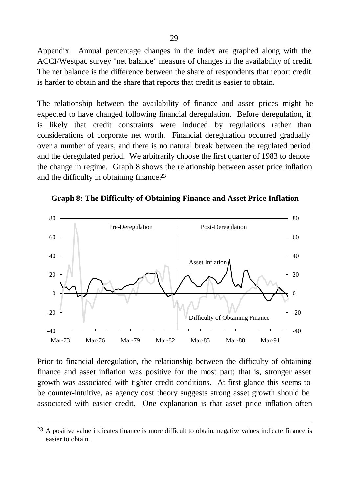Appendix. Annual percentage changes in the index are graphed along with the ACCI/Westpac survey "net balance" measure of changes in the availability of credit. The net balance is the difference between the share of respondents that report credit is harder to obtain and the share that reports that credit is easier to obtain.

The relationship between the availability of finance and asset prices might be expected to have changed following financial deregulation. Before deregulation, it is likely that credit constraints were induced by regulations rather than considerations of corporate net worth. Financial deregulation occurred gradually over a number of years, and there is no natural break between the regulated period and the deregulated period. We arbitrarily choose the first quarter of 1983 to denote the change in regime. Graph 8 shows the relationship between asset price inflation and the difficulty in obtaining finance.23

**Graph 8: The Difficulty of Obtaining Finance and Asset Price Inflation**



Prior to financial deregulation, the relationship between the difficulty of obtaining finance and asset inflation was positive for the most part; that is, stronger asset growth was associated with tighter credit conditions. At first glance this seems to be counter-intuitive, as agency cost theory suggests strong asset growth should be associated with easier credit. One explanation is that asset price inflation often

 $23$  A positive value indicates finance is more difficult to obtain, negative values indicate finance is easier to obtain.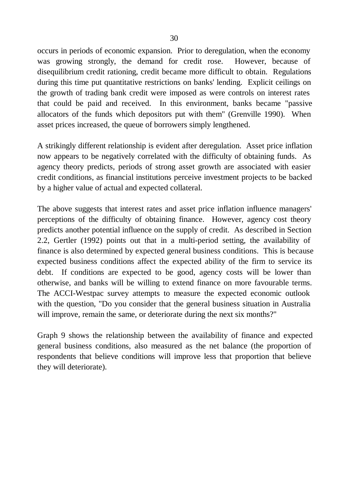occurs in periods of economic expansion. Prior to deregulation, when the economy was growing strongly, the demand for credit rose. However, because of disequilibrium credit rationing, credit became more difficult to obtain. Regulations during this time put quantitative restrictions on banks' lending. Explicit ceilings on the growth of trading bank credit were imposed as were controls on interest rates that could be paid and received. In this environment, banks became "passive allocators of the funds which depositors put with them" (Grenville 1990). When asset prices increased, the queue of borrowers simply lengthened.

A strikingly different relationship is evident after deregulation. Asset price inflation now appears to be negatively correlated with the difficulty of obtaining funds. As agency theory predicts, periods of strong asset growth are associated with easier credit conditions, as financial institutions perceive investment projects to be backed by a higher value of actual and expected collateral.

The above suggests that interest rates and asset price inflation influence managers' perceptions of the difficulty of obtaining finance. However, agency cost theory predicts another potential influence on the supply of credit. As described in Section 2.2, Gertler (1992) points out that in a multi-period setting, the availability of finance is also determined by expected general business conditions. This is because expected business conditions affect the expected ability of the firm to service its debt. If conditions are expected to be good, agency costs will be lower than otherwise, and banks will be willing to extend finance on more favourable terms. The ACCI-Westpac survey attempts to measure the expected economic outlook with the question, "Do you consider that the general business situation in Australia will improve, remain the same, or deteriorate during the next six months?"

Graph 9 shows the relationship between the availability of finance and expected general business conditions, also measured as the net balance (the proportion of respondents that believe conditions will improve less that proportion that believe they will deteriorate).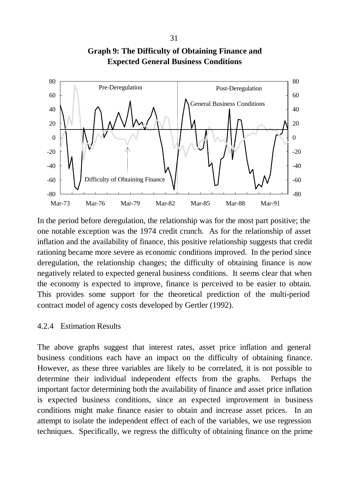

**Graph 9: The Difficulty of Obtaining Finance and Expected General Business Conditions**

In the period before deregulation, the relationship was for the most part positive; the one notable exception was the 1974 credit crunch. As for the relationship of asset inflation and the availability of finance, this positive relationship suggests that credit rationing became more severe as economic conditions improved. In the period since deregulation, the relationship changes; the difficulty of obtaining finance is now negatively related to expected general business conditions. It seems clear that when the economy is expected to improve, finance is perceived to be easier to obtain. This provides some support for the theoretical prediction of the multi-period contract model of agency costs developed by Gertler (1992).

#### 4.2.4 Estimation Results

The above graphs suggest that interest rates, asset price inflation and general business conditions each have an impact on the difficulty of obtaining finance. However, as these three variables are likely to be correlated, it is not possible to determine their individual independent effects from the graphs. Perhaps the important factor determining both the availability of finance and asset price inflation is expected business conditions, since an expected improvement in business conditions might make finance easier to obtain and increase asset prices. In an attempt to isolate the independent effect of each of the variables, we use regression techniques. Specifically, we regress the difficulty of obtaining finance on the prime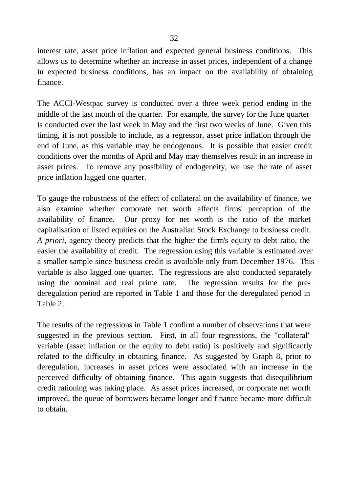interest rate, asset price inflation and expected general business conditions. This allows us to determine whether an increase in asset prices, independent of a change in expected business conditions, has an impact on the availability of obtaining finance.

The ACCI-Westpac survey is conducted over a three week period ending in the middle of the last month of the quarter. For example, the survey for the June quarter is conducted over the last week in May and the first two weeks of June. Given this timing, it is not possible to include, as a regressor, asset price inflation through the end of June, as this variable may be endogenous. It is possible that easier credit conditions over the months of April and May may themselves result in an increase in asset prices. To remove any possibility of endogeneity, we use the rate of asset price inflation lagged one quarter.

To gauge the robustness of the effect of collateral on the availability of finance, we also examine whether corporate net worth affects firms' perception of the availability of finance. Our proxy for net worth is the ratio of the market capitalisation of listed equities on the Australian Stock Exchange to business credit. *A priori*, agency theory predicts that the higher the firm's equity to debt ratio, the easier the availability of credit. The regression using this variable is estimated over a smaller sample since business credit is available only from December 1976. This variable is also lagged one quarter. The regressions are also conducted separately using the nominal and real prime rate. The regression results for the prederegulation period are reported in Table 1 and those for the deregulated period in Table 2.

The results of the regressions in Table 1 confirm a number of observations that were suggested in the previous section. First, in all four regressions, the "collateral" variable (asset inflation or the equity to debt ratio) is positively and significantly related to the difficulty in obtaining finance. As suggested by Graph 8, prior to deregulation, increases in asset prices were associated with an increase in the perceived difficulty of obtaining finance. This again suggests that disequilibrium credit rationing was taking place. As asset prices increased, or corporate net worth improved, the queue of borrowers became longer and finance became more difficult to obtain.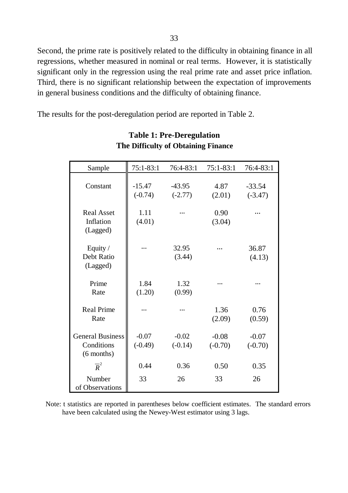Second, the prime rate is positively related to the difficulty in obtaining finance in all regressions, whether measured in nominal or real terms. However, it is statistically significant only in the regression using the real prime rate and asset price inflation. Third, there is no significant relationship between the expectation of improvements in general business conditions and the difficulty of obtaining finance.

The results for the post-deregulation period are reported in Table 2.

| Sample                                                | 75:1-83:1             | 76:4-83:1             | $75:1 - 83:1$        | 76:4-83:1             |
|-------------------------------------------------------|-----------------------|-----------------------|----------------------|-----------------------|
| Constant                                              | $-15.47$<br>$(-0.74)$ | $-43.95$<br>$(-2.77)$ | 4.87<br>(2.01)       | $-33.54$<br>$(-3.47)$ |
| <b>Real Asset</b><br>Inflation<br>(Lagged)            | 1.11<br>(4.01)        | .                     | 0.90<br>(3.04)       |                       |
| Equity /<br>Debt Ratio<br>(Lagged)                    |                       | 32.95<br>(3.44)       |                      | 36.87<br>(4.13)       |
| Prime<br>Rate                                         | 1.84<br>(1.20)        | 1.32<br>(0.99)        |                      |                       |
| <b>Real Prime</b><br>Rate                             | .                     | .                     | 1.36<br>(2.09)       | 0.76<br>(0.59)        |
| <b>General Business</b><br>Conditions<br>$(6$ months) | $-0.07$<br>$(-0.49)$  | $-0.02$<br>$(-0.14)$  | $-0.08$<br>$(-0.70)$ | $-0.07$<br>$(-0.70)$  |
| $\overline{R}^2$                                      | 0.44                  | 0.36                  | 0.50                 | 0.35                  |
| Number<br>of Observations                             | 33                    | 26                    | 33                   | 26                    |

#### **Table 1: Pre-Deregulation The Difficulty of Obtaining Finance**

Note: t statistics are reported in parentheses below coefficient estimates. The standard errors have been calculated using the Newey-West estimator using 3 lags.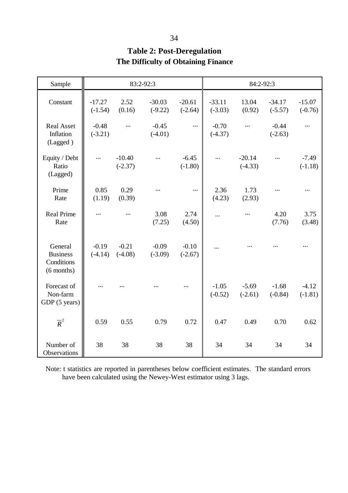| Sample                                                   | 83:2-92:3             |                       |                       |                       | 84:2-92:3             |                       |                       |                       |
|----------------------------------------------------------|-----------------------|-----------------------|-----------------------|-----------------------|-----------------------|-----------------------|-----------------------|-----------------------|
| Constant                                                 | $-17.27$<br>$(-1.54)$ | 2.52<br>(0.16)        | $-30.03$<br>$(-9.22)$ | $-20.61$<br>$(-2.64)$ | $-33.11$<br>$(-3.03)$ | 13.04<br>(0.92)       | $-34.17$<br>$(-5.57)$ | $-15.07$<br>$(-0.76)$ |
| <b>Real Asset</b><br>Inflation<br>(Lagged)               | $-0.48$<br>$(-3.21)$  | $\cdots$              | $-0.45$<br>$(-4.01)$  | $\cdots$              | $-0.70$<br>$(-4.37)$  | $\ldots$              | $-0.44$<br>$(-2.63)$  | $\cdots$              |
| Equity / Debt<br>Ratio<br>(Lagged)                       | $\cdots$              | $-10.40$<br>$(-2.37)$ | $\ddotsc$             | $-6.45$<br>$(-1.80)$  | $\cdots$              | $-20.14$<br>$(-4.33)$ | $\cdots$              | $-7.49$<br>$(-1.18)$  |
| Prime<br>Rate                                            | 0.85<br>(1.19)        | 0.29<br>(0.39)        | .                     | $\cdots$              | 2.36<br>(4.23)        | 1.73<br>(2.93)        | .                     | .                     |
| <b>Real Prime</b><br>Rate                                | .                     | $\cdots$              | 3.08<br>(7.25)        | 2.74<br>(4.50)        |                       | $\ddotsc$             | 4.20<br>(7.76)        | 3.75<br>(3.48)        |
| General<br><b>Business</b><br>Conditions<br>$(6$ months) | $-0.19$<br>$(-4.14)$  | $-0.21$<br>$(-4.08)$  | $-0.09$<br>$(-3.09)$  | $-0.10$<br>$(-2.67)$  |                       |                       |                       | $\ddotsc$             |
| Forecast of<br>Non-farm<br>GDP (5 years)                 |                       |                       |                       | $\cdots$              | $-1.05$<br>$(-0.52)$  | $-5.69$<br>$(-2.61)$  | $-1.68$<br>$(-0.84)$  | $-4.12$<br>$(-1.81)$  |
| $\overline{R}^2$                                         | 0.59                  | 0.55                  | 0.79                  | 0.72                  | 0.47                  | 0.49                  | 0.70                  | 0.62                  |
| Number of<br>Observations                                | 38                    | 38                    | 38                    | 38                    | 34                    | 34                    | 34                    | 34                    |

## **Table 2: Post-Deregulation The Difficulty of Obtaining Finance**

Note: t statistics are reported in parentheses below coefficient estimates. The standard errors have been calculated using the Newey-West estimator using 3 lags.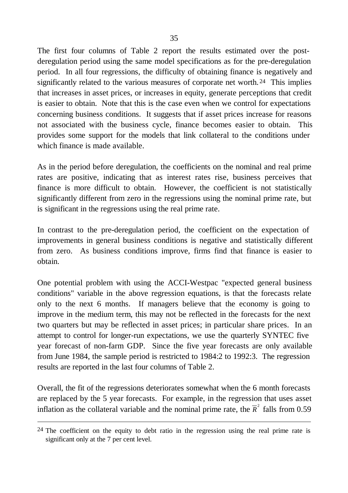The first four columns of Table 2 report the results estimated over the postderegulation period using the same model specifications as for the pre-deregulation period. In all four regressions, the difficulty of obtaining finance is negatively and significantly related to the various measures of corporate net worth. 24 This implies that increases in asset prices, or increases in equity, generate perceptions that credit is easier to obtain. Note that this is the case even when we control for expectations concerning business conditions. It suggests that if asset prices increase for reasons not associated with the business cycle, finance becomes easier to obtain. This provides some support for the models that link collateral to the conditions under which finance is made available.

As in the period before deregulation, the coefficients on the nominal and real prime rates are positive, indicating that as interest rates rise, business perceives that finance is more difficult to obtain. However, the coefficient is not statistically significantly different from zero in the regressions using the nominal prime rate, but is significant in the regressions using the real prime rate.

In contrast to the pre-deregulation period, the coefficient on the expectation of improvements in general business conditions is negative and statistically different from zero. As business conditions improve, firms find that finance is easier to obtain.

One potential problem with using the ACCI-Westpac "expected general business conditions" variable in the above regression equations, is that the forecasts relate only to the next 6 months. If managers believe that the economy is going to improve in the medium term, this may not be reflected in the forecasts for the next two quarters but may be reflected in asset prices; in particular share prices. In an attempt to control for longer-run expectations, we use the quarterly SYNTEC five year forecast of non-farm GDP. Since the five year forecasts are only available from June 1984, the sample period is restricted to 1984:2 to 1992:3. The regression results are reported in the last four columns of Table 2.

Overall, the fit of the regressions deteriorates somewhat when the 6 month forecasts are replaced by the 5 year forecasts. For example, in the regression that uses asset inflation as the collateral variable and the nominal prime rate, the  $\overline{R}^2$  falls from 0.59

 $24$  The coefficient on the equity to debt ratio in the regression using the real prime rate is significant only at the 7 per cent level.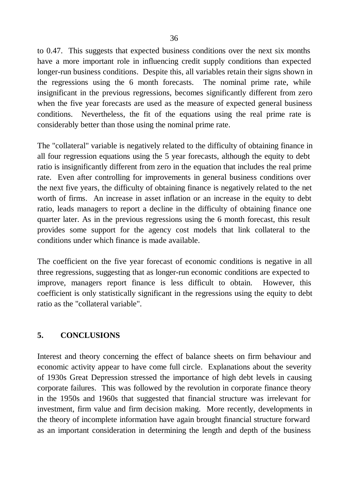to 0.47. This suggests that expected business conditions over the next six months have a more important role in influencing credit supply conditions than expected longer-run business conditions. Despite this, all variables retain their signs shown in the regressions using the 6 month forecasts. The nominal prime rate, while insignificant in the previous regressions, becomes significantly different from zero when the five year forecasts are used as the measure of expected general business conditions. Nevertheless, the fit of the equations using the real prime rate is considerably better than those using the nominal prime rate.

The "collateral" variable is negatively related to the difficulty of obtaining finance in all four regression equations using the 5 year forecasts, although the equity to debt ratio is insignificantly different from zero in the equation that includes the real prime rate. Even after controlling for improvements in general business conditions over the next five years, the difficulty of obtaining finance is negatively related to the net worth of firms. An increase in asset inflation or an increase in the equity to debt ratio, leads managers to report a decline in the difficulty of obtaining finance one quarter later. As in the previous regressions using the 6 month forecast, this result provides some support for the agency cost models that link collateral to the conditions under which finance is made available.

The coefficient on the five year forecast of economic conditions is negative in all three regressions, suggesting that as longer-run economic conditions are expected to improve, managers report finance is less difficult to obtain. However, this coefficient is only statistically significant in the regressions using the equity to debt ratio as the "collateral variable".

## **5. CONCLUSIONS**

Interest and theory concerning the effect of balance sheets on firm behaviour and economic activity appear to have come full circle. Explanations about the severity of 1930s Great Depression stressed the importance of high debt levels in causing corporate failures. This was followed by the revolution in corporate finance theory in the 1950s and 1960s that suggested that financial structure was irrelevant for investment, firm value and firm decision making. More recently, developments in the theory of incomplete information have again brought financial structure forward as an important consideration in determining the length and depth of the business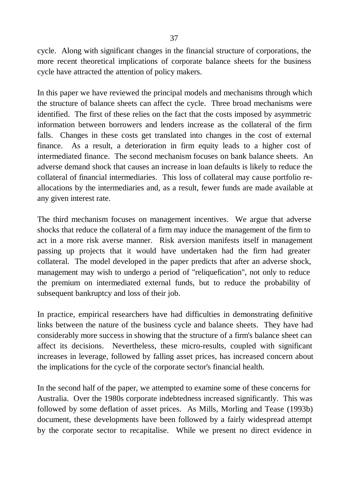cycle. Along with significant changes in the financial structure of corporations, the more recent theoretical implications of corporate balance sheets for the business cycle have attracted the attention of policy makers.

In this paper we have reviewed the principal models and mechanisms through which the structure of balance sheets can affect the cycle. Three broad mechanisms were identified. The first of these relies on the fact that the costs imposed by asymmetric information between borrowers and lenders increase as the collateral of the firm falls. Changes in these costs get translated into changes in the cost of external finance. As a result, a deterioration in firm equity leads to a higher cost of intermediated finance. The second mechanism focuses on bank balance sheets. An adverse demand shock that causes an increase in loan defaults is likely to reduce the collateral of financial intermediaries. This loss of collateral may cause portfolio reallocations by the intermediaries and, as a result, fewer funds are made available at any given interest rate.

The third mechanism focuses on management incentives. We argue that adverse shocks that reduce the collateral of a firm may induce the management of the firm to act in a more risk averse manner. Risk aversion manifests itself in management passing up projects that it would have undertaken had the firm had greater collateral. The model developed in the paper predicts that after an adverse shock, management may wish to undergo a period of "reliquefication", not only to reduce the premium on intermediated external funds, but to reduce the probability of subsequent bankruptcy and loss of their job.

In practice, empirical researchers have had difficulties in demonstrating definitive links between the nature of the business cycle and balance sheets. They have had considerably more success in showing that the structure of a firm's balance sheet can affect its decisions. Nevertheless, these micro-results, coupled with significant increases in leverage, followed by falling asset prices, has increased concern about the implications for the cycle of the corporate sector's financial health.

In the second half of the paper, we attempted to examine some of these concerns for Australia. Over the 1980s corporate indebtedness increased significantly. This was followed by some deflation of asset prices. As Mills, Morling and Tease (1993b) document, these developments have been followed by a fairly widespread attempt by the corporate sector to recapitalise. While we present no direct evidence in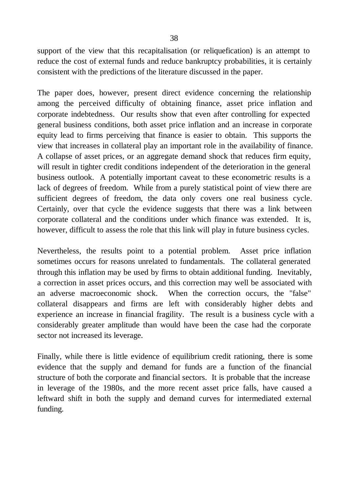support of the view that this recapitalisation (or reliquefication) is an attempt to reduce the cost of external funds and reduce bankruptcy probabilities, it is certainly consistent with the predictions of the literature discussed in the paper.

The paper does, however, present direct evidence concerning the relationship among the perceived difficulty of obtaining finance, asset price inflation and corporate indebtedness. Our results show that even after controlling for expected general business conditions, both asset price inflation and an increase in corporate equity lead to firms perceiving that finance is easier to obtain. This supports the view that increases in collateral play an important role in the availability of finance. A collapse of asset prices, or an aggregate demand shock that reduces firm equity, will result in tighter credit conditions independent of the deterioration in the general business outlook. A potentially important caveat to these econometric results is a lack of degrees of freedom. While from a purely statistical point of view there are sufficient degrees of freedom, the data only covers one real business cycle. Certainly, over that cycle the evidence suggests that there was a link between corporate collateral and the conditions under which finance was extended. It is, however, difficult to assess the role that this link will play in future business cycles.

Nevertheless, the results point to a potential problem. Asset price inflation sometimes occurs for reasons unrelated to fundamentals. The collateral generated through this inflation may be used by firms to obtain additional funding. Inevitably, a correction in asset prices occurs, and this correction may well be associated with an adverse macroeconomic shock. When the correction occurs, the "false" collateral disappears and firms are left with considerably higher debts and experience an increase in financial fragility. The result is a business cycle with a considerably greater amplitude than would have been the case had the corporate sector not increased its leverage.

Finally, while there is little evidence of equilibrium credit rationing, there is some evidence that the supply and demand for funds are a function of the financial structure of both the corporate and financial sectors. It is probable that the increase in leverage of the 1980s, and the more recent asset price falls, have caused a leftward shift in both the supply and demand curves for intermediated external funding.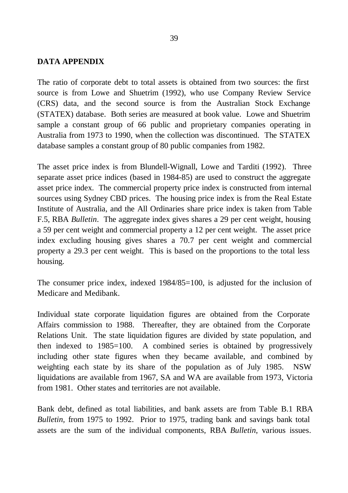#### **DATA APPENDIX**

The ratio of corporate debt to total assets is obtained from two sources: the first source is from Lowe and Shuetrim (1992), who use Company Review Service (CRS) data, and the second source is from the Australian Stock Exchange (STATEX) database. Both series are measured at book value. Lowe and Shuetrim sample a constant group of 66 public and proprietary companies operating in Australia from 1973 to 1990, when the collection was discontinued. The STATEX database samples a constant group of 80 public companies from 1982.

The asset price index is from Blundell-Wignall, Lowe and Tarditi (1992). Three separate asset price indices (based in 1984-85) are used to construct the aggregate asset price index. The commercial property price index is constructed from internal sources using Sydney CBD prices. The housing price index is from the Real Estate Institute of Australia, and the All Ordinaries share price index is taken from Table F.5, RBA *Bulletin*. The aggregate index gives shares a 29 per cent weight, housing a 59 per cent weight and commercial property a 12 per cent weight. The asset price index excluding housing gives shares a 70.7 per cent weight and commercial property a 29.3 per cent weight. This is based on the proportions to the total less housing.

The consumer price index, indexed 1984/85=100, is adjusted for the inclusion of Medicare and Medibank.

Individual state corporate liquidation figures are obtained from the Corporate Affairs commission to 1988. Thereafter, they are obtained from the Corporate Relations Unit. The state liquidation figures are divided by state population, and then indexed to 1985=100. A combined series is obtained by progressively including other state figures when they became available, and combined by weighting each state by its share of the population as of July 1985. NSW liquidations are available from 1967, SA and WA are available from 1973, Victoria from 1981. Other states and territories are not available.

Bank debt, defined as total liabilities, and bank assets are from Table B.1 RBA *Bulletin,* from 1975 to 1992. Prior to 1975, trading bank and savings bank total assets are the sum of the individual components, RBA *Bulletin*, various issues.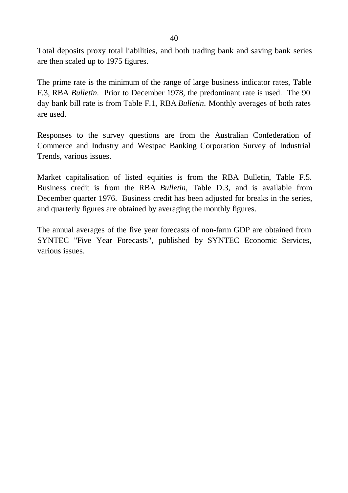Total deposits proxy total liabilities, and both trading bank and saving bank series are then scaled up to 1975 figures.

The prime rate is the minimum of the range of large business indicator rates, Table F.3, RBA *Bulletin*. Prior to December 1978, the predominant rate is used. The 90 day bank bill rate is from Table F.1, RBA *Bulletin*. Monthly averages of both rates are used.

Responses to the survey questions are from the Australian Confederation of Commerce and Industry and Westpac Banking Corporation Survey of Industrial Trends, various issues.

Market capitalisation of listed equities is from the RBA Bulletin, Table F.5. Business credit is from the RBA *Bulletin*, Table D.3, and is available from December quarter 1976. Business credit has been adjusted for breaks in the series, and quarterly figures are obtained by averaging the monthly figures.

The annual averages of the five year forecasts of non-farm GDP are obtained from SYNTEC "Five Year Forecasts", published by SYNTEC Economic Services, various issues.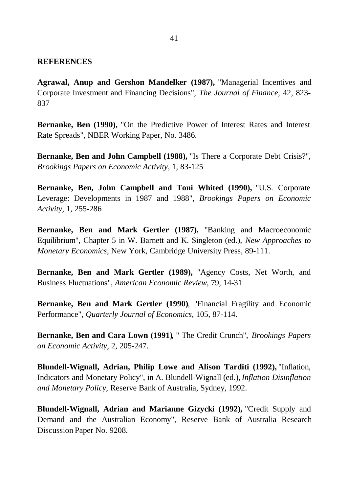#### **REFERENCES**

**Agrawal, Anup and Gershon Mandelker (1987),** "Managerial Incentives and Corporate Investment and Financing Decisions", *The Journal of Finance*, 42, 823- 837

**Bernanke, Ben (1990),** "On the Predictive Power of Interest Rates and Interest Rate Spreads", NBER Working Paper, No. 3486.

**Bernanke, Ben and John Campbell (1988),** "Is There a Corporate Debt Crisis?", *Brookings Papers on Economic Activity*, 1, 83-125

**Bernanke, Ben, John Campbell and Toni Whited (1990),** "U.S. Corporate Leverage: Developments in 1987 and 1988", *Brookings Papers on Economic Activity*, 1, 255-286

**Bernanke, Ben and Mark Gertler (1987),** "Banking and Macroeconomic Equilibrium", Chapter 5 in W. Barnett and K. Singleton (ed.), *New Approaches to Monetary Economics*, New York, Cambridge University Press, 89-111.

**Bernanke, Ben and Mark Gertler (1989),** "Agency Costs, Net Worth, and Business Fluctuations", *American Economic Review*, 79, 14-31

**Bernanke, Ben and Mark Gertler (1990)***,* "Financial Fragility and Economic Performance", *Quarterly Journal of Economics*, 105, 87-114.

**Bernanke, Ben and Cara Lown (1991)**, " The Credit Crunch", *Brookings Papers on Economic Activity*, 2, 205-247.

**Blundell-Wignall, Adrian, Philip Lowe and Alison Tarditi (1992),**"Inflation, Indicators and Monetary Policy", in A. Blundell-Wignall (ed.), *Inflation Disinflation and Monetary Policy*, Reserve Bank of Australia, Sydney, 1992.

**Blundell-Wignall, Adrian and Marianne Gizycki (1992),** "Credit Supply and Demand and the Australian Economy", Reserve Bank of Australia Research Discussion Paper No*.* 9208.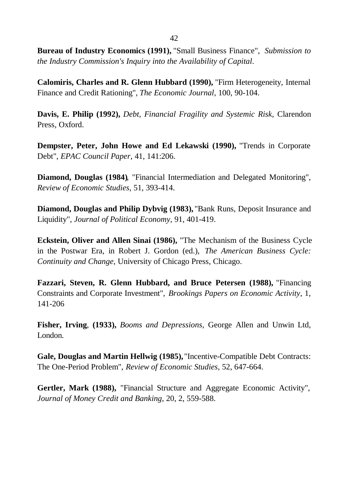**Bureau of Industry Economics (1991),** "Small Business Finance", *Submission to the Industry Commission's Inquiry into the Availability of Capital*.

**Calomiris, Charles and R. Glenn Hubbard (1990),** "Firm Heterogeneity, Internal Finance and Credit Rationing", *The Economic Journal,* 100, 90-104.

**Davis, E. Philip (1992),** *Debt, Financial Fragility and Systemic Risk*, Clarendon Press, Oxford.

**Dempster, Peter, John Howe and Ed Lekawski (1990),** "Trends in Corporate Debt", *EPAC Council Paper*, 41, 141:206.

**Diamond, Douglas (1984)**, "Financial Intermediation and Delegated Monitoring", *Review of Economic Studies*, 51, 393-414.

**Diamond, Douglas and Philip Dybvig (1983),** "Bank Runs, Deposit Insurance and Liquidity", *Journal of Political Economy*, 91, 401-419.

**Eckstein, Oliver and Allen Sinai (1986),** "The Mechanism of the Business Cycle in the Postwar Era, in Robert J. Gordon (ed.), *The American Business Cycle: Continuity and Change*, University of Chicago Press, Chicago.

**Fazzari, Steven, R. Glenn Hubbard, and Bruce Petersen (1988),** "Financing Constraints and Corporate Investment", *Brookings Papers on Economic Activity*, 1, 141-206

**Fisher, Irving**, **(1933),** *Booms and Depressions*, George Allen and Unwin Ltd, London.

**Gale, Douglas and Martin Hellwig (1985),** "Incentive-Compatible Debt Contracts: The One-Period Problem", *Review of Economic Studies*, 52, 647-664.

**Gertler, Mark (1988),** "Financial Structure and Aggregate Economic Activity", *Journal of Money Credit and Banking*, 20, 2, 559-588.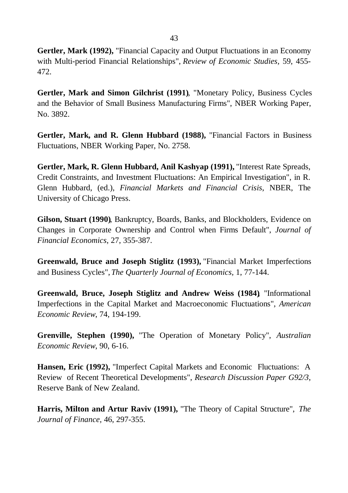**Gertler, Mark (1992),** "Financial Capacity and Output Fluctuations in an Economy with Multi-period Financial Relationships", *Review of Economic Studies,* 59, 455- 472.

**Gertler, Mark and Simon Gilchrist (1991)**, "Monetary Policy, Business Cycles and the Behavior of Small Business Manufacturing Firms", NBER Working Paper, No. 3892.

**Gertler, Mark, and R. Glenn Hubbard (1988),** "Financial Factors in Business Fluctuations, NBER Working Paper, No. 2758.

**Gertler, Mark, R. Glenn Hubbard, Anil Kashyap (1991),** "Interest Rate Spreads, Credit Constraints, and Investment Fluctuations: An Empirical Investigation", in R. Glenn Hubbard, (ed.), *Financial Markets and Financial Crisis*, NBER, The University of Chicago Press.

**Gilson, Stuart (1990)**, Bankruptcy, Boards, Banks, and Blockholders, Evidence on Changes in Corporate Ownership and Control when Firms Default", *Journal of Financial Economics*, 27, 355-387.

**Greenwald, Bruce and Joseph Stiglitz (1993),** "Financial Market Imperfections and Business Cycles", *The Quarterly Journal of Economics,* 1, 77-144.

**Greenwald, Bruce, Joseph Stiglitz and Andrew Weiss (1984)**, "Informational Imperfections in the Capital Market and Macroeconomic Fluctuations", *American Economic Review*, 74, 194-199.

**Grenville, Stephen (1990),** "The Operation of Monetary Policy", *Australian Economic Review*, 90, 6-16.

**Hansen, Eric (1992),** "Imperfect Capital Markets and Economic Fluctuations: A Review of Recent Theoretical Developments", *Research Discussion Paper G92/3*, Reserve Bank of New Zealand.

**Harris, Milton and Artur Raviv (1991),** "The Theory of Capital Structure", *The Journal of Finance,* 46, 297-355.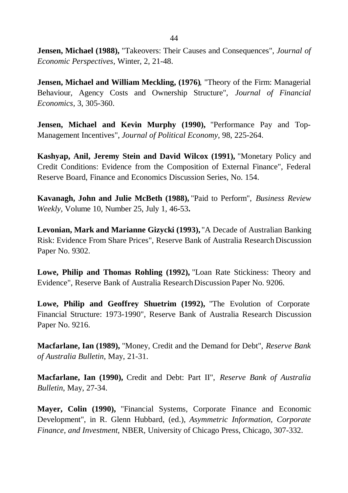**Jensen, Michael (1988),** "Takeovers: Their Causes and Consequences", *Journal of Economic Perspectives*, Winter, 2, 21-48.

**Jensen, Michael and William Meckling, (1976)**, "Theory of the Firm: Managerial Behaviour, Agency Costs and Ownership Structure", *Journal of Financial Economics,* 3, 305-360.

**Jensen, Michael and Kevin Murphy (1990),** "Performance Pay and Top-Management Incentives", *Journal of Political Economy*, 98, 225-264.

**Kashyap, Anil, Jeremy Stein and David Wilcox (1991),** "Monetary Policy and Credit Conditions: Evidence from the Composition of External Finance", Federal Reserve Board, Finance and Economics Discussion Series, No. 154.

**Kavanagh, John and Julie McBeth (1988),** "Paid to Perform", *Business Review Weekly,* Volume 10, Number 25, July 1, 46-53**.**

**Levonian, Mark and Marianne Gizycki (1993),** "A Decade of Australian Banking Risk: Evidence From Share Prices", Reserve Bank of Australia Research Discussion Paper No. 9302.

**Lowe, Philip and Thomas Rohling (1992),** "Loan Rate Stickiness: Theory and Evidence", Reserve Bank of Australia Research Discussion Paper No. 9206.

**Lowe, Philip and Geoffrey Shuetrim (1992),** "The Evolution of Corporate Financial Structure: 1973-1990", Reserve Bank of Australia Research Discussion Paper No. 9216.

**Macfarlane, Ian (1989),** "Money, Credit and the Demand for Debt", *Reserve Bank of Australia Bulletin*, May, 21-31.

**Macfarlane, Ian (1990),** Credit and Debt: Part II", *Reserve Bank of Australia Bulletin*, May, 27-34.

**Mayer, Colin (1990),** "Financial Systems, Corporate Finance and Economic Development", in R. Glenn Hubbard, (ed.), *Asymmetric Information, Corporate Finance, and Investment*, NBER, University of Chicago Press, Chicago, 307-332.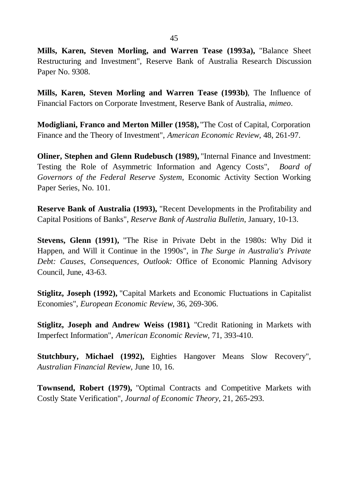**Mills, Karen, Steven Morling, and Warren Tease (1993a),** "Balance Sheet Restructuring and Investment", Reserve Bank of Australia Research Discussion Paper No. 9308.

**Mills, Karen, Steven Morling and Warren Tease (1993b)**, The Influence of Financial Factors on Corporate Investment, Reserve Bank of Australia, *mimeo*.

**Modigliani, Franco and Merton Miller (1958),** "The Cost of Capital, Corporation Finance and the Theory of Investment", *American Economic Review,* 48, 261-97.

**Oliner, Stephen and Glenn Rudebusch (1989), "Internal Finance and Investment:** Testing the Role of Asymmetric Information and Agency Costs", *Board of Governors of the Federal Reserve System*, Economic Activity Section Working Paper Series, No. 101.

**Reserve Bank of Australia (1993),** "Recent Developments in the Profitability and Capital Positions of Banks", *Reserve Bank of Australia Bulletin*, January, 10-13.

**Stevens, Glenn (1991),** "The Rise in Private Debt in the 1980s: Why Did it Happen, and Will it Continue in the 1990s", in *The Surge in Australia's Private Debt: Causes, Consequences, Outlook:* Office of Economic Planning Advisory Council, June, 43-63.

**Stiglitz, Joseph (1992),** "Capital Markets and Economic Fluctuations in Capitalist Economies", *European Economic Review,* 36, 269-306.

**Stiglitz, Joseph and Andrew Weiss (1981)**, "Credit Rationing in Markets with Imperfect Information", *American Economic Review*, 71, 393-410.

**Stutchbury, Michael (1992),** Eighties Hangover Means Slow Recovery", *Australian Financial Review*, June 10, 16.

**Townsend, Robert (1979),** "Optimal Contracts and Competitive Markets with Costly State Verification", *Journal of Economic Theory,* 21, 265-293.